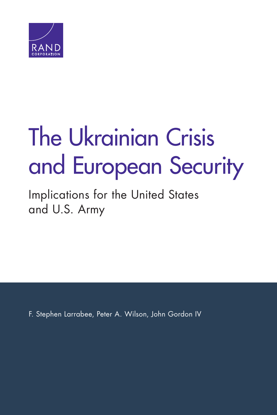

# The Ukrainian Crisis [and European Security](http://www.rand.org/pubs/research_reports/RR903.html)

Implications for the United States and U.S. Army

F. Stephen Larrabee, Peter A. Wilson, John Gordon IV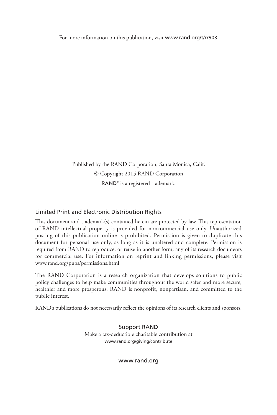For more information on this publication, visit [www.rand.org/t/rr903](http://www.rand.org/t/rr903)

Published by the RAND Corporation, Santa Monica, Calif. © Copyright 2015 RAND Corporation RAND<sup>®</sup> is a registered trademark.

#### Limited Print and Electronic Distribution Rights

This document and trademark(s) contained herein are protected by law. This representation of RAND intellectual property is provided for noncommercial use only. Unauthorized posting of this publication online is prohibited. Permission is given to duplicate this document for personal use only, as long as it is unaltered and complete. Permission is required from RAND to reproduce, or reuse in another form, any of its research documents for commercial use. For information on reprint and linking permissions, please visit [www.rand.org/pubs/permissions.html.](http://www.rand.org/pubs/permissions.html)

The RAND Corporation is a research organization that develops solutions to public policy challenges to help make communities throughout the world safer and more secure, healthier and more prosperous. RAND is nonprofit, nonpartisan, and committed to the public interest.

RAND's publications do not necessarily reflect the opinions of its research clients and sponsors.

Support RAND Make a tax-deductible charitable contribution at [www.rand.org/giving/contribute](http://www.rand.org/giving/contribute)

[www.rand.org](http://www.rand.org)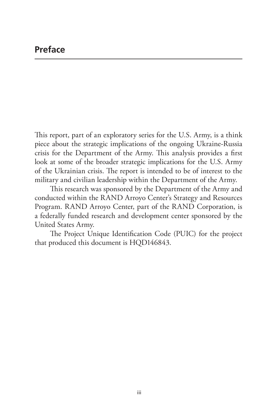This report, part of an exploratory series for the U.S. Army, is a think piece about the strategic implications of the ongoing Ukraine-Russia crisis for the Department of the Army. This analysis provides a first look at some of the broader strategic implications for the U.S. Army of the Ukrainian crisis. The report is intended to be of interest to the military and civilian leadership within the Department of the Army.

This research was sponsored by the Department of the Army and conducted within the RAND Arroyo Center's Strategy and Resources Program. RAND Arroyo Center, part of the RAND Corporation, is a federally funded research and development center sponsored by the United States Army.

The Project Unique Identification Code (PUIC) for the project that produced this document is HQD146843.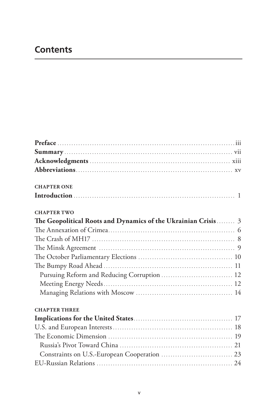# **Contents**

| <b>CHAPTER ONE</b>                                             |  |
|----------------------------------------------------------------|--|
|                                                                |  |
| <b>CHAPTER TWO</b>                                             |  |
| The Geopolitical Roots and Dynamics of the Ukrainian Crisis  3 |  |
|                                                                |  |
|                                                                |  |
|                                                                |  |
|                                                                |  |
|                                                                |  |
| Pursuing Reform and Reducing Corruption  12                    |  |
|                                                                |  |
|                                                                |  |
| <b>CHAPTER THREE</b>                                           |  |
|                                                                |  |
|                                                                |  |
|                                                                |  |
|                                                                |  |
|                                                                |  |
|                                                                |  |
|                                                                |  |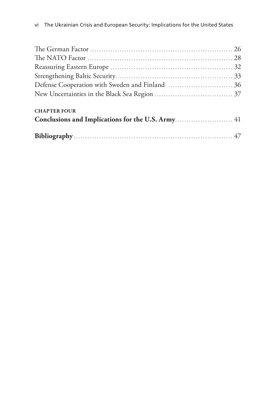| <b>CHAPTER FOUR</b> |  |
|---------------------|--|
|                     |  |
|                     |  |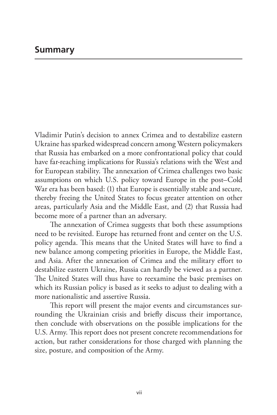Vladimir Putin's decision to annex Crimea and to destabilize eastern Ukraine has sparked widespread concern among Western policymakers that Russia has embarked on a more confrontational policy that could have far-reaching implications for Russia's relations with the West and for European stability. The annexation of Crimea challenges two basic assumptions on which U.S. policy toward Europe in the post–Cold War era has been based: (1) that Europe is essentially stable and secure, thereby freeing the United States to focus greater attention on other areas, particularly Asia and the Middle East, and (2) that Russia had become more of a partner than an adversary.

The annexation of Crimea suggests that both these assumptions need to be revisited. Europe has returned front and center on the U.S. policy agenda. This means that the United States will have to find a new balance among competing priorities in Europe, the Middle East, and Asia. After the annexation of Crimea and the military effort to destabilize eastern Ukraine, Russia can hardly be viewed as a partner. The United States will thus have to reexamine the basic premises on which its Russian policy is based as it seeks to adjust to dealing with a more nationalistic and assertive Russia.

This report will present the major events and circumstances surrounding the Ukrainian crisis and briefly discuss their importance, then conclude with observations on the possible implications for the U.S. Army. This report does not present concrete recommendations for action, but rather considerations for those charged with planning the size, posture, and composition of the Army.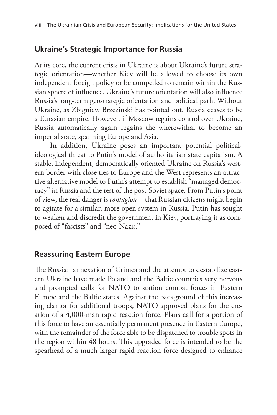# **Ukraine's Strategic Importance for Russia**

At its core, the current crisis in Ukraine is about Ukraine's future strategic orientation—whether Kiev will be allowed to choose its own independent foreign policy or be compelled to remain within the Russian sphere of influence. Ukraine's future orientation will also influence Russia's long-term geostrategic orientation and political path. Without Ukraine, as Zbigniew Brzezinski has pointed out, Russia ceases to be a Eurasian empire. However, if Moscow regains control over Ukraine, Russia automatically again regains the wherewithal to become an imperial state, spanning Europe and Asia.

In addition, Ukraine poses an important potential politicalideological threat to Putin's model of authoritarian state capitalism. A stable, independent, democratically oriented Ukraine on Russia's western border with close ties to Europe and the West represents an attractive alternative model to Putin's attempt to establish "managed democracy" in Russia and the rest of the post-Soviet space. From Putin's point of view, the real danger is *contagion*—that Russian citizens might begin to agitate for a similar, more open system in Russia. Putin has sought to weaken and discredit the government in Kiev, portraying it as composed of "fascists" and "neo-Nazis."

# **Reassuring Eastern Europe**

The Russian annexation of Crimea and the attempt to destabilize eastern Ukraine have made Poland and the Baltic countries very nervous and prompted calls for NATO to station combat forces in Eastern Europe and the Baltic states. Against the background of this increasing clamor for additional troops, NATO approved plans for the creation of a 4,000-man rapid reaction force. Plans call for a portion of this force to have an essentially permanent presence in Eastern Europe, with the remainder of the force able to be dispatched to trouble spots in the region within 48 hours. This upgraded force is intended to be the spearhead of a much larger rapid reaction force designed to enhance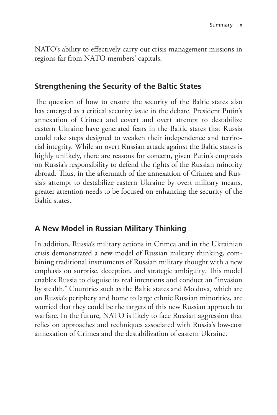NATO's ability to effectively carry out crisis management missions in regions far from NATO members' capitals.

# **Strengthening the Security of the Baltic States**

The question of how to ensure the security of the Baltic states also has emerged as a critical security issue in the debate. President Putin's annexation of Crimea and covert and overt attempt to destabilize eastern Ukraine have generated fears in the Baltic states that Russia could take steps designed to weaken their independence and territorial integrity. While an overt Russian attack against the Baltic states is highly unlikely, there are reasons for concern, given Putin's emphasis on Russia's responsibility to defend the rights of the Russian minority abroad. Thus, in the aftermath of the annexation of Crimea and Russia's attempt to destabilize eastern Ukraine by overt military means, greater attention needs to be focused on enhancing the security of the Baltic states.

# **A New Model in Russian Military Thinking**

In addition, Russia's military actions in Crimea and in the Ukrainian crisis demonstrated a new model of Russian military thinking, combining traditional instruments of Russian military thought with a new emphasis on surprise, deception, and strategic ambiguity. This model enables Russia to disguise its real intentions and conduct an "invasion by stealth." Countries such as the Baltic states and Moldova*,* which are on Russia's periphery and home to large ethnic Russian minorities, are worried that they could be the targets of this new Russian approach to warfare. In the future, NATO is likely to face Russian aggression that relies on approaches and techniques associated with Russia's low-cost annexation of Crimea and the destabilization of eastern Ukraine.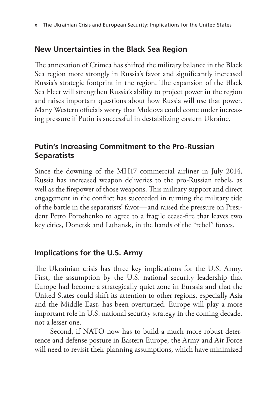# **New Uncertainties in the Black Sea Region**

The annexation of Crimea has shifted the military balance in the Black Sea region more strongly in Russia's favor and significantly increased Russia's strategic footprint in the region. The expansion of the Black Sea Fleet will strengthen Russia's ability to project power in the region and raises important questions about how Russia will use that power. Many Western officials worry that Moldova could come under increasing pressure if Putin is successful in destabilizing eastern Ukraine.

# **Putin's Increasing Commitment to the Pro-Russian Separatists**

Since the downing of the MH17 commercial airliner in July 2014, Russia has increased weapon deliveries to the pro-Russian rebels, as well as the firepower of those weapons. This military support and direct engagement in the conflict has succeeded in turning the military tide of the battle in the separatists' favor—and raised the pressure on President Petro Poroshenko to agree to a fragile cease-fire that leaves two key cities, Donetsk and Luhansk, in the hands of the "rebel" forces.

# **Implications for the U.S. Army**

The Ukrainian crisis has three key implications for the U.S. Army. First, the assumption by the U.S. national security leadership that Europe had become a strategically quiet zone in Eurasia and that the United States could shift its attention to other regions, especially Asia and the Middle East, has been overturned. Europe will play a more important role in U.S. national security strategy in the coming decade, not a lesser one.

Second, if NATO now has to build a much more robust deterrence and defense posture in Eastern Europe, the Army and Air Force will need to revisit their planning assumptions, which have minimized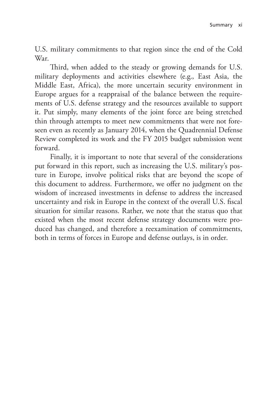U.S. military commitments to that region since the end of the Cold War.

Third, when added to the steady or growing demands for U.S. military deployments and activities elsewhere (e.g., East Asia, the Middle East, Africa), the more uncertain security environment in Europe argues for a reappraisal of the balance between the requirements of U.S. defense strategy and the resources available to support it. Put simply, many elements of the joint force are being stretched thin through attempts to meet new commitments that were not foreseen even as recently as January 2014, when the Quadrennial Defense Review completed its work and the FY 2015 budget submission went forward.

Finally, it is important to note that several of the considerations put forward in this report, such as increasing the U.S. military's posture in Europe, involve political risks that are beyond the scope of this document to address. Furthermore, we offer no judgment on the wisdom of increased investments in defense to address the increased uncertainty and risk in Europe in the context of the overall U.S. fiscal situation for similar reasons. Rather, we note that the status quo that existed when the most recent defense strategy documents were produced has changed, and therefore a reexamination of commitments, both in terms of forces in Europe and defense outlays, is in order.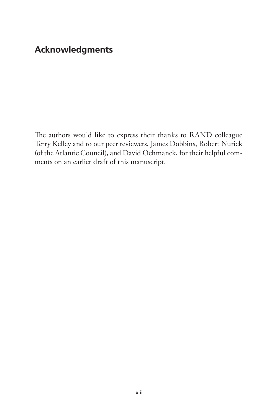The authors would like to express their thanks to RAND colleague Terry Kelley and to our peer reviewers, James Dobbins, Robert Nurick (of the Atlantic Council), and David Ochmanek, for their helpful comments on an earlier draft of this manuscript.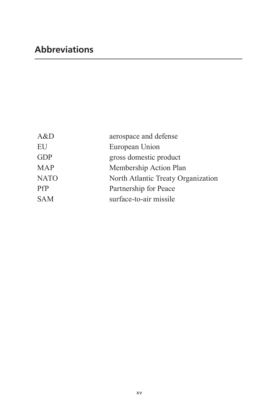| A&D         | aerospace and defense              |
|-------------|------------------------------------|
| EU          | European Union                     |
| <b>GDP</b>  | gross domestic product             |
| <b>MAP</b>  | Membership Action Plan             |
| <b>NATO</b> | North Atlantic Treaty Organization |
| <b>PfP</b>  | Partnership for Peace              |
| <b>SAM</b>  | surface-to-air missile             |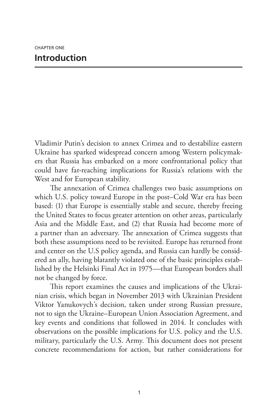Vladimir Putin's decision to annex Crimea and to destabilize eastern Ukraine has sparked widespread concern among Western policymakers that Russia has embarked on a more confrontational policy that could have far-reaching implications for Russia's relations with the West and for European stability.

The annexation of Crimea challenges two basic assumptions on which U.S. policy toward Europe in the post–Cold War era has been based: (1) that Europe is essentially stable and secure, thereby freeing the United States to focus greater attention on other areas, particularly Asia and the Middle East, and (2) that Russia had become more of a partner than an adversary. The annexation of Crimea suggests that both these assumptions need to be revisited. Europe has returned front and center on the U.S policy agenda, and Russia can hardly be considered an ally, having blatantly violated one of the basic principles established by the Helsinki Final Act in 1975—that European borders shall not be changed by force.

This report examines the causes and implications of the Ukrainian crisis, which began in November 2013 with Ukrainian President Viktor Yanukovych's decision, taken under strong Russian pressure, not to sign the Ukraine–European Union Association Agreement, and key events and conditions that followed in 2014. It concludes with observations on the possible implications for U.S. policy and the U.S. military, particularly the U.S. Army. This document does not present concrete recommendations for action, but rather considerations for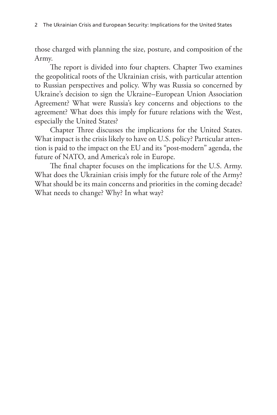those charged with planning the size, posture, and composition of the Army.

The report is divided into four chapters. Chapter Two examines the geopolitical roots of the Ukrainian crisis, with particular attention to Russian perspectives and policy. Why was Russia so concerned by Ukraine's decision to sign the Ukraine–European Union Association Agreement? What were Russia's key concerns and objections to the agreement? What does this imply for future relations with the West, especially the United States?

Chapter Three discusses the implications for the United States. What impact is the crisis likely to have on U.S. policy? Particular attention is paid to the impact on the EU and its "post-modern" agenda, the future of NATO, and America's role in Europe.

The final chapter focuses on the implications for the U.S. Army. What does the Ukrainian crisis imply for the future role of the Army? What should be its main concerns and priorities in the coming decade? What needs to change? Why? In what way?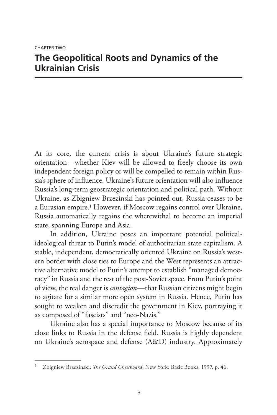# **The Geopolitical Roots and Dynamics of the Ukrainian Crisis**

At its core, the current crisis is about Ukraine's future strategic orientation—whether Kiev will be allowed to freely choose its own independent foreign policy or will be compelled to remain within Russia's sphere of influence. Ukraine's future orientation will also influence Russia's long-term geostrategic orientation and political path. Without Ukraine, as Zbigniew Brzezinski has pointed out, Russia ceases to be a Eurasian empire.1 However, if Moscow regains control over Ukraine, Russia automatically regains the wherewithal to become an imperial state, spanning Europe and Asia.

In addition, Ukraine poses an important potential politicalideological threat to Putin's model of authoritarian state capitalism. A stable, independent, democratically oriented Ukraine on Russia's western border with close ties to Europe and the West represents an attractive alternative model to Putin's attempt to establish "managed democracy" in Russia and the rest of the post-Soviet space. From Putin's point of view, the real danger is *contagion*—that Russian citizens might begin to agitate for a similar more open system in Russia. Hence, Putin has sought to weaken and discredit the government in Kiev, portraying it as composed of "fascists" and "neo-Nazis."

Ukraine also has a special importance to Moscow because of its close links to Russia in the defense field. Russia is highly dependent on Ukraine's aerospace and defense (A&D) industry. Approximately

<sup>1</sup> Zbigniew Brzezinski, *The Grand Chessboard*, New York: Basic Books, 1997, p. 46.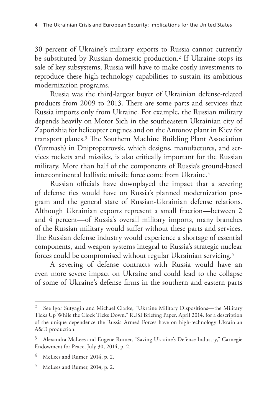30 percent of Ukraine's military exports to Russia cannot currently be substituted by Russian domestic production.2 If Ukraine stops its sale of key subsystems, Russia will have to make costly investments to reproduce these high-technology capabilities to sustain its ambitious modernization programs.

Russia was the third-largest buyer of Ukrainian defense-related products from 2009 to 2013. There are some parts and services that Russia imports only from Ukraine. For example, the Russian military depends heavily on Motor Sich in the southeastern Ukrainian city of Zaporizhia for helicopter engines and on the Antonov plant in Kiev for transport planes.3 The Southern Machine Building Plant Association (Yuzmash) in Dnipropetrovsk, which designs, manufactures, and services rockets and missiles, is also critically important for the Russian military. More than half of the components of Russia's ground-based intercontinental ballistic missile force come from Ukraine.4

Russian officials have downplayed the impact that a severing of defense ties would have on Russia's planned modernization program and the general state of Russian-Ukrainian defense relations. Although Ukrainian exports represent a small fraction—between 2 and 4 percent—of Russia's overall military imports, many branches of the Russian military would suffer without these parts and services. The Russian defense industry would experience a shortage of essential components, and weapon systems integral to Russia's strategic nuclear forces could be compromised without regular Ukrainian servicing.<sup>5</sup>

A severing of defense contracts with Russia would have an even more severe impact on Ukraine and could lead to the collapse of some of Ukraine's defense firms in the southern and eastern parts

<sup>&</sup>lt;sup>2</sup> See Igor Sutyagin and Michael Clarke, "Ukraine Military Dispositions—the Military Ticks Up While the Clock Ticks Down," RUSI Briefing Paper, April 2014, for a description of the unique dependence the Russia Armed Forces have on high-technology Ukrainian A&D production.

<sup>&</sup>lt;sup>3</sup> Alexandra McLees and Eugene Rumer, "Saving Ukraine's Defense Industry," Carnegie Endowment for Peace, July 30, 2014, p. 2.

<sup>4</sup> McLees and Rumer, 2014, p. 2.

<sup>5</sup> McLees and Rumer, 2014, p. 2.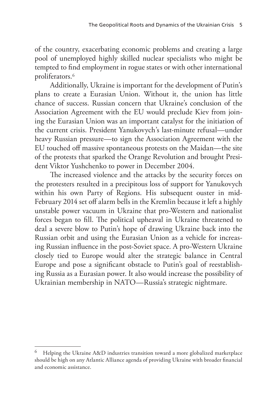of the country, exacerbating economic problems and creating a large pool of unemployed highly skilled nuclear specialists who might be tempted to find employment in rogue states or with other international proliferators.<sup>6</sup>

Additionally, Ukraine is important for the development of Putin's plans to create a Eurasian Union. Without it, the union has little chance of success. Russian concern that Ukraine's conclusion of the Association Agreement with the EU would preclude Kiev from joining the Eurasian Union was an important catalyst for the initiation of the current crisis. President Yanukovych's last-minute refusal—under heavy Russian pressure—to sign the Association Agreement with the EU touched off massive spontaneous protests on the Maidan—the site of the protests that sparked the Orange Revolution and brought President Viktor Yushchenko to power in December 2004.

The increased violence and the attacks by the security forces on the protesters resulted in a precipitous loss of support for Yanukovych within his own Party of Regions. His subsequent ouster in mid-February 2014 set off alarm bells in the Kremlin because it left a highly unstable power vacuum in Ukraine that pro-Western and nationalist forces began to fill. The political upheaval in Ukraine threatened to deal a severe blow to Putin's hope of drawing Ukraine back into the Russian orbit and using the Eurasian Union as a vehicle for increasing Russian influence in the post-Soviet space. A pro-Western Ukraine closely tied to Europe would alter the strategic balance in Central Europe and pose a significant obstacle to Putin's goal of reestablishing Russia as a Eurasian power. It also would increase the possibility of Ukrainian membership in NATO—Russia's strategic nightmare.

 $^6$  Helping the Ukraine A&D industries transition toward a more globalized marketplace should be high on any Atlantic Alliance agenda of providing Ukraine with broader financial and economic assistance.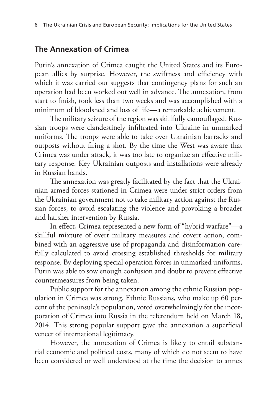# **The Annexation of Crimea**

Putin's annexation of Crimea caught the United States and its European allies by surprise. However, the swiftness and efficiency with which it was carried out suggests that contingency plans for such an operation had been worked out well in advance. The annexation, from start to finish, took less than two weeks and was accomplished with a minimum of bloodshed and loss of life—a remarkable achievement.

The military seizure of the region was skillfully camouflaged. Russian troops were clandestinely infiltrated into Ukraine in unmarked uniforms. The troops were able to take over Ukrainian barracks and outposts without firing a shot. By the time the West was aware that Crimea was under attack, it was too late to organize an effective military response. Key Ukrainian outposts and installations were already in Russian hands.

The annexation was greatly facilitated by the fact that the Ukrainian armed forces stationed in Crimea were under strict orders from the Ukrainian government not to take military action against the Russian forces, to avoid escalating the violence and provoking a broader and harsher intervention by Russia.

In effect, Crimea represented a new form of "hybrid warfare"—a skillful mixture of overt military measures and covert action, combined with an aggressive use of propaganda and disinformation carefully calculated to avoid crossing established thresholds for military response. By deploying special operation forces in unmarked uniforms, Putin was able to sow enough confusion and doubt to prevent effective countermeasures from being taken.

Public support for the annexation among the ethnic Russian population in Crimea was strong. Ethnic Russians, who make up 60 percent of the peninsula's population, voted overwhelmingly for the incorporation of Crimea into Russia in the referendum held on March 18, 2014. This strong popular support gave the annexation a superficial veneer of international legitimacy.

However, the annexation of Crimea is likely to entail substantial economic and political costs, many of which do not seem to have been considered or well understood at the time the decision to annex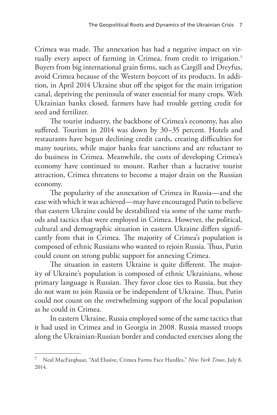Crimea was made. The annexation has had a negative impact on virtually every aspect of farming in Crimea, from credit to irrigation.<sup>7</sup> Buyers from big international grain firms, such as Cargill and Dreyfus, avoid Crimea because of the Western boycott of its products. In addition, in April 2014 Ukraine shut off the spigot for the main irrigation canal, depriving the peninsula of water essential for many crops. With Ukrainian banks closed, farmers have had trouble getting credit for seed and fertilizer.

The tourist industry, the backbone of Crimea's economy, has also suffered. Tourism in 2014 was down by 30–35 percent. Hotels and restaurants have begun declining credit cards, creating difficulties for many tourists, while major banks fear sanctions and are reluctant to do business in Crimea. Meanwhile, the costs of developing Crimea's economy have continued to mount. Rather than a lucrative tourist attraction, Crimea threatens to become a major drain on the Russian economy.

The popularity of the annexation of Crimea in Russia—and the ease with which it was achieved—may have encouraged Putin to believe that eastern Ukraine could be destabilized via some of the same methods and tactics that were employed in Crimea. However, the political, cultural and demographic situation in eastern Ukraine differs significantly from that in Crimea. The majority of Crimea's population is composed of ethnic Russians who wanted to rejoin Russia. Thus, Putin could count on strong public support for annexing Crimea.

The situation in eastern Ukraine is quite different. The majority of Ukraine's population is composed of ethnic Ukrainians, whose primary language is Russian. They favor close ties to Russia, but they do not want to join Russia or be independent of Ukraine. Thus, Putin could not count on the overwhelming support of the local population as he could in Crimea.

In eastern Ukraine, Russia employed some of the same tactics that it had used in Crimea and in Georgia in 2008. Russia massed troops along the Ukrainian-Russian border and conducted exercises along the

<sup>7</sup> Neal MacFarqhuar, "Aid Elusive, Crimea Farms Face Hurdles," *New York Times*, July 8, 2014.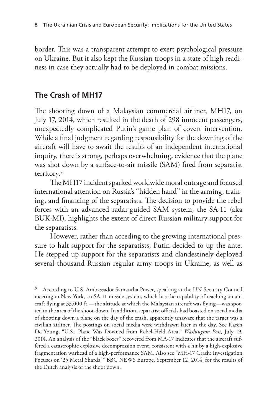border. This was a transparent attempt to exert psychological pressure on Ukraine. But it also kept the Russian troops in a state of high readiness in case they actually had to be deployed in combat missions.

# **The Crash of MH17**

The shooting down of a Malaysian commercial airliner, MH17, on July 17, 2014, which resulted in the death of 298 innocent passengers, unexpectedly complicated Putin's game plan of covert intervention. While a final judgment regarding responsibility for the downing of the aircraft will have to await the results of an independent international inquiry, there is strong, perhaps overwhelming, evidence that the plane was shot down by a surface-to-air missile (SAM) fired from separatist territory.<sup>8</sup>

The MH17 incident sparked worldwide moral outrage and focused international attention on Russia's "hidden hand" in the arming, training, and financing of the separatists. The decision to provide the rebel forces with an advanced radar-guided SAM system, the SA-11 (aka BUK-MI), highlights the extent of direct Russian military support for the separatists.

However, rather than acceding to the growing international pressure to halt support for the separatists, Putin decided to up the ante. He stepped up support for the separatists and clandestinely deployed several thousand Russian regular army troops in Ukraine, as well as

<sup>8</sup> According to U.S. Ambassador Samantha Power, speaking at the UN Security Council meeting in New York, an SA-11 missile system, which has the capability of reaching an aircraft flying at 33,000 ft.—the altitude at which the Malaysian aircraft was flying—was spotted in the area of the shoot-down. In addition, separatist officials had boasted on social media of shooting down a plane on the day of the crash, apparently unaware that the target was a civilian airliner. The postings on social media were withdrawn later in the day. See Karen De Young, "U.S.: Plane Was Downed from Rebel-Held Area," *Washington Post,* July 19, 2014. An analysis of the "black boxes" recovered from MA-17 indicates that the aircraft suffered a catastrophic explosive decompression event, consistent with a hit by a high-explosive fragmentation warhead of a high-performance SAM. Also see "MH-17 Crash: Investigation Focuses on '25 Metal Shards,'" BBC NEWS Europe, September 12, 2014, for the results of the Dutch analysis of the shoot down.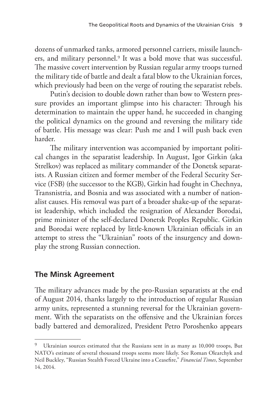dozens of unmarked tanks, armored personnel carriers, missile launchers, and military personnel.<sup>9</sup> It was a bold move that was successful. The massive covert intervention by Russian regular army troops turned the military tide of battle and dealt a fatal blow to the Ukrainian forces, which previously had been on the verge of routing the separatist rebels.

Putin's decision to double down rather than bow to Western pressure provides an important glimpse into his character: Through his determination to maintain the upper hand, he succeeded in changing the political dynamics on the ground and reversing the military tide of battle. His message was clear: Push me and I will push back even harder.

The military intervention was accompanied by important political changes in the separatist leadership. In August, Igor Girkin (aka Strelkov) was replaced as military commander of the Donetsk separatists. A Russian citizen and former member of the Federal Security Service (FSB) (the successor to the KGB), Girkin had fought in Chechnya, Transnistria, and Bosnia and was associated with a number of nationalist causes. His removal was part of a broader shake-up of the separatist leadership, which included the resignation of Alexander Borodai, prime minister of the self-declared Donetsk Peoples Republic. Girkin and Borodai were replaced by little-known Ukrainian officials in an attempt to stress the "Ukrainian" roots of the insurgency and downplay the strong Russian connection.

## **The Minsk Agreement**

The military advances made by the pro-Russian separatists at the end of August 2014, thanks largely to the introduction of regular Russian army units, represented a stunning reversal for the Ukrainian government. With the separatists on the offensive and the Ukrainian forces badly battered and demoralized, President Petro Poroshenko appears

<sup>&</sup>lt;sup>9</sup> Ukrainian sources estimated that the Russians sent in as many as 10,000 troops, But NATO's estimate of several thousand troops seems more likely. See Roman Olearchyk and Neil Buckley, "Russian Stealth Forced Ukraine into a Ceasefire," *Financial Times*, September 14, 2014.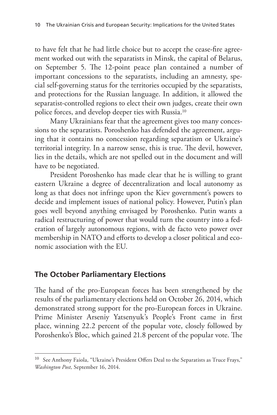to have felt that he had little choice but to accept the cease-fire agreement worked out with the separatists in Minsk, the capital of Belarus, on September 5. The 12-point peace plan contained a number of important concessions to the separatists, including an amnesty, special self-governing status for the territories occupied by the separatists, and protections for the Russian language. In addition, it allowed the separatist-controlled regions to elect their own judges, create their own police forces, and develop deeper ties with Russia.10

Many Ukrainians fear that the agreement gives too many concessions to the separatists. Poroshenko has defended the agreement, arguing that it contains no concession regarding separatism or Ukraine's territorial integrity. In a narrow sense, this is true. The devil, however, lies in the details, which are not spelled out in the document and will have to be negotiated.

President Poroshenko has made clear that he is willing to grant eastern Ukraine a degree of decentralization and local autonomy as long as that does not infringe upon the Kiev government's powers to decide and implement issues of national policy. However, Putin's plan goes well beyond anything envisaged by Poroshenko. Putin wants a radical restructuring of power that would turn the country into a federation of largely autonomous regions, with de facto veto power over membership in NATO and efforts to develop a closer political and economic association with the EU.

# **The October Parliamentary Elections**

The hand of the pro-European forces has been strengthened by the results of the parliamentary elections held on October 26, 2014, which demonstrated strong support for the pro-European forces in Ukraine. Prime Minister Arseniy Yatsenyuk's People's Front came in first place, winning 22.2 percent of the popular vote, closely followed by Poroshenko's Bloc, which gained 21.8 percent of the popular vote. The

<sup>&</sup>lt;sup>10</sup> See Anthony Faiola, "Ukraine's President Offers Deal to the Separatists as Truce Frays," *Washington Post,* September 16, 2014.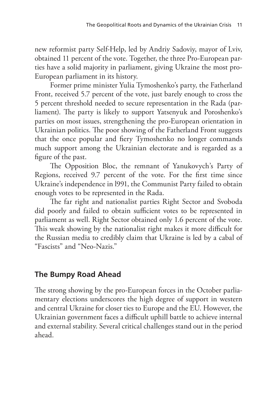new reformist party Self-Help, led by Andriy Sadoviy, mayor of Lviv, obtained 11 percent of the vote. Together, the three Pro-European parties have a solid majority in parliament, giving Ukraine the most pro-European parliament in its history.

Former prime minister Yulia Tymoshenko's party, the Fatherland Front, received 5.7 percent of the vote, just barely enough to cross the 5 percent threshold needed to secure representation in the Rada (parliament). The party is likely to support Yatsenyuk and Poroshenko's parties on most issues, strengthening the pro-European orientation in Ukrainian politics. The poor showing of the Fatherland Front suggests that the once popular and fiery Tymoshenko no longer commands much support among the Ukrainian electorate and is regarded as a figure of the past.

The Opposition Bloc, the remnant of Yanukovych's Party of Regions, received 9.7 percent of the vote. For the first time since Ukraine's independence in l991, the Communist Party failed to obtain enough votes to be represented in the Rada.

The far right and nationalist parties Right Sector and Svoboda did poorly and failed to obtain sufficient votes to be represented in parliament as well. Right Sector obtained only 1.6 percent of the vote. This weak showing by the nationalist right makes it more difficult for the Russian media to credibly claim that Ukraine is led by a cabal of "Fascists" and "Neo-Nazis."

# **The Bumpy Road Ahead**

The strong showing by the pro-European forces in the October parliamentary elections underscores the high degree of support in western and central Ukraine for closer ties to Europe and the EU. However, the Ukrainian government faces a difficult uphill battle to achieve internal and external stability. Several critical challenges stand out in the period ahead.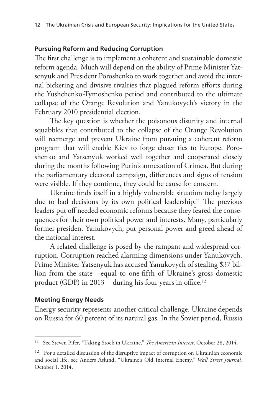#### **Pursuing Reform and Reducing Corruption**

The first challenge is to implement a coherent and sustainable domestic reform agenda. Much will depend on the ability of Prime Minister Yatsenyuk and President Poroshenko to work together and avoid the internal bickering and divisive rivalries that plagued reform efforts during the Yushchenko-Tymoshenko period and contributed to the ultimate collapse of the Orange Revolution and Yanukovych's victory in the February 2010 presidential election.

The key question is whether the poisonous disunity and internal squabbles that contributed to the collapse of the Orange Revolution will reemerge and prevent Ukraine from pursuing a coherent reform program that will enable Kiev to forge closer ties to Europe. Poroshenko and Yatsenyuk worked well together and cooperated closely during the months following Putin's annexation of Crimea. But during the parliamentary electoral campaign, differences and signs of tension were visible. If they continue, they could be cause for concern.

Ukraine finds itself in a highly vulnerable situation today largely due to bad decisions by its own political leadership.<sup>11</sup> The previous leaders put off needed economic reforms because they feared the consequences for their own political power and interests. Many, particularly former president Yanukovych, put personal power and greed ahead of the national interest.

A related challenge is posed by the rampant and widespread corruption. Corruption reached alarming dimensions under Yanukovych. Prime Minister Yatsenyuk has accused Yanukovych of stealing \$37 billion from the state—equal to one-fifth of Ukraine's gross domestic product (GDP) in 2013—during his four years in office.12

#### **Meeting Energy Needs**

Energy security represents another critical challenge. Ukraine depends on Russia for 60 percent of its natural gas. In the Soviet period, Russia

<sup>11</sup> See Steven Pifer, "Taking Stock in Ukraine," *The American Interest*, October 28, 2014.

 $12$  For a detailed discussion of the disruptive impact of corruption on Ukrainian economic and social life, see Anders Aslund, "Ukraine's Old Internal Enemy," *Wall Street Journal*, October 1, 2014.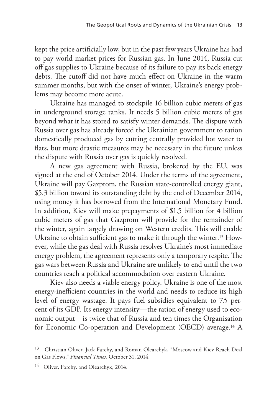kept the price artificially low, but in the past few years Ukraine has had to pay world market prices for Russian gas. In June 2014, Russia cut off gas supplies to Ukraine because of its failure to pay its back energy debts. The cutoff did not have much effect on Ukraine in the warm summer months, but with the onset of winter, Ukraine's energy problems may become more acute.

Ukraine has managed to stockpile 16 billion cubic meters of gas in underground storage tanks. It needs 5 billion cubic meters of gas beyond what it has stored to satisfy winter demands. The dispute with Russia over gas has already forced the Ukrainian government to ration domestically produced gas by cutting centrally provided hot water to flats, but more drastic measures may be necessary in the future unless the dispute with Russia over gas is quickly resolved.

A new gas agreement with Russia, brokered by the EU, was signed at the end of October 2014. Under the terms of the agreement, Ukraine will pay Gazprom, the Russian state-controlled energy giant, \$5.3 billion toward its outstanding debt by the end of December 2014, using money it has borrowed from the International Monetary Fund. In addition, Kiev will make prepayments of \$1.5 billion for 4 billion cubic meters of gas that Gazprom will provide for the remainder of the winter, again largely drawing on Western credits. This will enable Ukraine to obtain sufficient gas to make it through the winter.13 However, while the gas deal with Russia resolves Ukraine's most immediate energy problem, the agreement represents only a temporary respite. The gas wars between Russia and Ukraine are unlikely to end until the two countries reach a political accommodation over eastern Ukraine.

Kiev also needs a viable energy policy. Ukraine is one of the most energy-inefficient countries in the world and needs to reduce its high level of energy wastage. It pays fuel subsidies equivalent to 7.5 percent of its GDP. Its energy intensity—the ration of energy used to economic output—is twice that of Russia and ten times the Organisation for Economic Co-operation and Development (OECD) average.14 A

<sup>13</sup> Christian Oliver, Jack Farchy, and Roman Olearchyk, "Moscow and Kiev Reach Deal on Gas Flows," *Financial Times*, October 31, 2014.

<sup>&</sup>lt;sup>14</sup> Oliver, Farchy, and Olearchyk, 2014.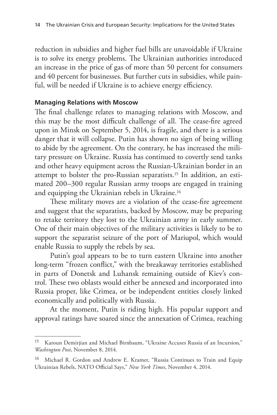reduction in subsidies and higher fuel bills are unavoidable if Ukraine is to solve its energy problems. The Ukrainian authorities introduced an increase in the price of gas of more than 50 percent for consumers and 40 percent for businesses. But further cuts in subsidies, while painful, will be needed if Ukraine is to achieve energy efficiency.

#### **Managing Relations with Moscow**

The final challenge relates to managing relations with Moscow, and this may be the most difficult challenge of all. The cease-fire agreed upon in Minsk on September 5, 2014, is fragile, and there is a serious danger that it will collapse. Putin has shown no sign of being willing to abide by the agreement. On the contrary, he has increased the military pressure on Ukraine. Russia has continued to covertly send tanks and other heavy equipment across the Russian-Ukrainian border in an attempt to bolster the pro-Russian separatists.15 In addition, an estimated 200–300 regular Russian army troops are engaged in training and equipping the Ukrainian rebels in Ukraine.16

These military moves are a violation of the cease-fire agreement and suggest that the separatists, backed by Moscow, may be preparing to retake territory they lost to the Ukrainian army in early summer. One of their main objectives of the military activities is likely to be to support the separatist seizure of the port of Mariupol, which would enable Russia to supply the rebels by sea.

Putin's goal appears to be to turn eastern Ukraine into another long-term "frozen conflict," with the breakaway territories established in parts of Donetsk and Luhansk remaining outside of Kiev's control. These two oblasts would either be annexed and incorporated into Russia proper, like Crimea, or be independent entities closely linked economically and politically with Russia.

At the moment, Putin is riding high. His popular support and approval ratings have soared since the annexation of Crimea, reaching

<sup>&</sup>lt;sup>15</sup> Karoun Demirjian and Michael Birnbaum, "Ukraine Accuses Russia of an Incursion," *Washington Post*, November 8, 2014.

<sup>&</sup>lt;sup>16</sup> Michael R. Gordon and Andrew E. Kramer, "Russia Continues to Train and Equip Ukrainian Rebels, NATO Official Says," *New York Times*, November 4, 2014.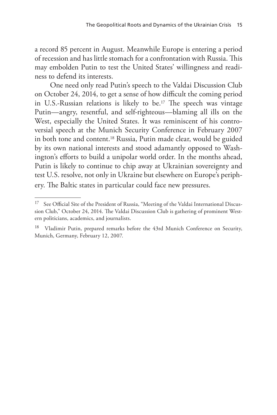a record 85 percent in August. Meanwhile Europe is entering a period of recession and has little stomach for a confrontation with Russia. This may embolden Putin to test the United States' willingness and readiness to defend its interests.

One need only read Putin's speech to the Valdai Discussion Club on October 24, 2014, to get a sense of how difficult the coming period in U.S.-Russian relations is likely to be.17 The speech was vintage Putin—angry, resentful, and self-righteous—blaming all ills on the West, especially the United States. It was reminiscent of his controversial speech at the Munich Security Conference in February 2007 in both tone and content.18 Russia, Putin made clear, would be guided by its own national interests and stood adamantly opposed to Washington's efforts to build a unipolar world order. In the months ahead, Putin is likely to continue to chip away at Ukrainian sovereignty and test U.S. resolve, not only in Ukraine but elsewhere on Europe's periphery. The Baltic states in particular could face new pressures.

<sup>&</sup>lt;sup>17</sup> See Official Site of the President of Russia, "Meeting of the Valdai International Discussion Club," October 24, 2014. The Valdai Discussion Club is gathering of prominent Western politicians, academics, and journalists.

<sup>18</sup> Vladimir Putin, prepared remarks before the 43rd Munich Conference on Security, Munich, Germany, February 12, 2007.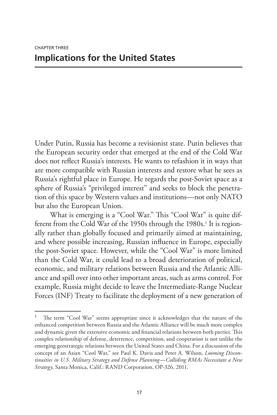Under Putin, Russia has become a revisionist state. Putin believes that the European security order that emerged at the end of the Cold War does not reflect Russia's interests. He wants to refashion it in ways that are more compatible with Russian interests and restore what he sees as Russia's rightful place in Europe. He regards the post-Soviet space as a sphere of Russia's "privileged interest" and seeks to block the penetration of this space by Western values and institutions—not only NATO but also the European Union.

What is emerging is a "Cool War." This "Cool War" is quite different from the Cold War of the 1950s through the 1980s.<sup>1</sup> It is regionally rather than globally focused and primarily aimed at maintaining, and where possible increasing, Russian influence in Europe, especially the post-Soviet space. However, while the "Cool War" is more limited than the Cold War, it could lead to a broad deterioration of political, economic, and military relations between Russia and the Atlantic Alliance and spill over into other important areas, such as arms control. For example, Russia might decide to leave the Intermediate-Range Nuclear Forces (INF) Treaty to facilitate the deployment of a new generation of

The term "Cool War" seems appropriate since it acknowledges that the nature of the enhanced competition between Russia and the Atlantic Alliance will be much more complex and dynamic given the extensive economic and financial relations between both parties. This complex relationship of defense, deterrence, competition, and cooperation is not unlike the emerging geostrategic relations between the United States and China. For a discussion of the concept of an Asian "Cool War," see Paul K. Davis and Peter A. Wilson, *Looming Discontinuities in U.S. Military Strategy and Defense Planning—Colliding RMAs Necessitate a New Strategy*, Santa Monica, Calif.: RAND Corporation, OP-326, 2011.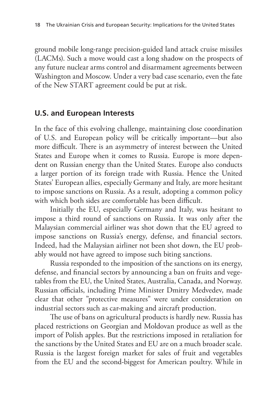ground mobile long-range precision-guided land attack cruise missiles (LACMs). Such a move would cast a long shadow on the prospects of any future nuclear arms control and disarmament agreements between Washington and Moscow. Under a very bad case scenario, even the fate of the New START agreement could be put at risk.

# **U.S. and European Interests**

In the face of this evolving challenge, maintaining close coordination of U.S. and European policy will be critically important—but also more difficult. There is an asymmetry of interest between the United States and Europe when it comes to Russia. Europe is more dependent on Russian energy than the United States. Europe also conducts a larger portion of its foreign trade with Russia. Hence the United States' European allies, especially Germany and Italy, are more hesitant to impose sanctions on Russia. As a result, adopting a common policy with which both sides are comfortable has been difficult.

Initially the EU, especially Germany and Italy, was hesitant to impose a third round of sanctions on Russia. It was only after the Malaysian commercial airliner was shot down that the EU agreed to impose sanctions on Russia's energy, defense, and financial sectors. Indeed, had the Malaysian airliner not been shot down, the EU probably would not have agreed to impose such biting sanctions.

Russia responded to the imposition of the sanctions on its energy, defense, and financial sectors by announcing a ban on fruits and vegetables from the EU, the United States, Australia, Canada, and Norway. Russian officials, including Prime Minister Dmitry Medvedev, made clear that other "protective measures" were under consideration on industrial sectors such as car-making and aircraft production.

The use of bans on agricultural products is hardly new. Russia has placed restrictions on Georgian and Moldovan produce as well as the import of Polish apples. But the restrictions imposed in retaliation for the sanctions by the United States and EU are on a much broader scale. Russia is the largest foreign market for sales of fruit and vegetables from the EU and the second-biggest for American poultry. While in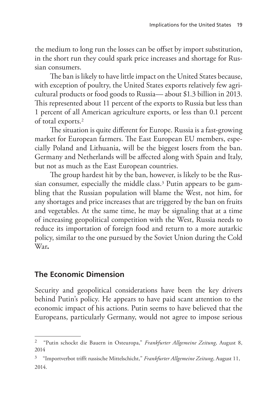the medium to long run the losses can be offset by import substitution, in the short run they could spark price increases and shortage for Russian consumers.

The ban is likely to have little impact on the United States because, with exception of poultry, the United States exports relatively few agricultural products or food goods to Russia— about \$1.3 billion in 2013. This represented about 11 percent of the exports to Russia but less than 1 percent of all American agriculture exports, or less than 0.1 percent of total exports.2

The situation is quite different for Europe. Russia is a fast-growing market for European farmers. The East European EU members, especially Poland and Lithuania, will be the biggest losers from the ban. Germany and Netherlands will be affected along with Spain and Italy, but not as much as the East European countries.

The group hardest hit by the ban, however, is likely to be the Russian consumer, especially the middle class.3 Putin appears to be gambling that the Russian population will blame the West, not him, for any shortages and price increases that are triggered by the ban on fruits and vegetables. At the same time, he may be signaling that at a time of increasing geopolitical competition with the West, Russia needs to reduce its importation of foreign food and return to a more autarkic policy, similar to the one pursued by the Soviet Union during the Cold War**.**

# **The Economic Dimension**

Security and geopolitical considerations have been the key drivers behind Putin's policy. He appears to have paid scant attention to the economic impact of his actions. Putin seems to have believed that the Europeans, particularly Germany, would not agree to impose serious

<sup>2</sup> "Putin schockt die Bauern in Osteuropa," *Frankfurter Allgemeine Zeitung*, August 8, 2014

<sup>3</sup>  "Importverbot trifft russische Mittelschicht," *Frankfurter Allgemeine Zeitung*, August 11, 2014.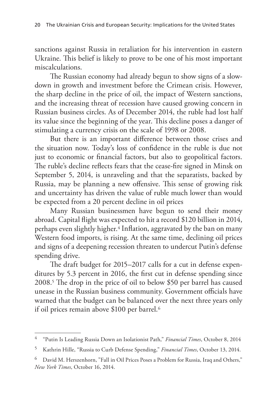sanctions against Russia in retaliation for his intervention in eastern Ukraine. This belief is likely to prove to be one of his most important miscalculations.

The Russian economy had already begun to show signs of a slowdown in growth and investment before the Crimean crisis. However, the sharp decline in the price of oil, the impact of Western sanctions, and the increasing threat of recession have caused growing concern in Russian business circles. As of December 2014, the ruble had lost half its value since the beginning of the year. This decline poses a danger of stimulating a currency crisis on the scale of 1998 or 2008.

But there is an important difference between those crises and the situation now. Today's loss of confidence in the ruble is due not just to economic or financial factors, but also to geopolitical factors. The ruble's decline reflects fears that the cease-fire signed in Minsk on September 5, 2014, is unraveling and that the separatists, backed by Russia, may be planning a new offensive. This sense of growing risk and uncertainty has driven the value of ruble much lower than would be expected from a 20 percent decline in oil prices

Many Russian businessmen have begun to send their money abroad. Capital flight was expected to hit a record \$120 billion in 2014, perhaps even slightly higher.<sup>4</sup> Inflation, aggravated by the ban on many Western food imports, is rising. At the same time, declining oil prices and signs of a deepening recession threaten to undercut Putin's defense spending drive.

The draft budget for 2015–2017 calls for a cut in defense expenditures by 5.3 percent in 2016, the first cut in defense spending since 2008.5 The drop in the price of oil to below \$50 per barrel has caused unease in the Russian business community. Government officials have warned that the budget can be balanced over the next three years only if oil prices remain above \$100 per barrel.<sup>6</sup>

<sup>4</sup> "Putin Is Leading Russia Down an Isolationist Path," *Financial Times*, October 8, 2014

<sup>5</sup> Kathrin Hille, "Russia to Curb Defense Spending," *Financial Times*, October 13, 2014.

<sup>6</sup> David M. Herszenhorn, "Fall in Oil Prices Poses a Problem for Russia, Iraq and Others," *New York Times*, October 16, 2014.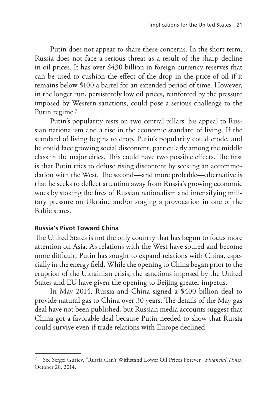Putin does not appear to share these concerns. In the short term, Russia does not face a serious threat as a result of the sharp decline in oil prices. It has over \$430 billion in foreign currency reserves that can be used to cushion the effect of the drop in the price of oil if it remains below \$100 a barrel for an extended period of time. However, in the longer run, persistently low oil prices, reinforced by the pressure imposed by Western sanctions, could pose a serious challenge to the Putin regime.<sup>7</sup>

Putin's popularity rests on two central pillars: his appeal to Russian nationalism and a rise in the economic standard of living. If the standard of living begins to drop, Putin's popularity could erode, and he could face growing social discontent, particularly among the middle class in the major cities. This could have two possible effects. The first is that Putin tries to defuse rising discontent by seeking an accommodation with the West. The second—and more probable—alternative is that he seeks to deflect attention away from Russia's growing economic woes by stoking the fires of Russian nationalism and intensifying military pressure on Ukraine and/or staging a provocation in one of the Baltic states.

#### **Russia's Pivot Toward China**

The United States is not the only country that has begun to focus more attention on Asia. As relations with the West have soured and become more difficult, Putin has sought to expand relations with China, especially in the energy field. While the opening to China began prior to the eruption of the Ukrainian crisis, the sanctions imposed by the United States and EU have given the opening to Beijing greater impetus.

In May 2014, Russia and China signed a \$400 billion deal to provide natural gas to China over 30 years. The details of the May gas deal have not been published, but Russian media accounts suggest that China got a favorable deal because Putin needed to show that Russia could survive even if trade relations with Europe declined.

<sup>7</sup> See Sergei Guriev, "Russia Can't Withstand Lower Oil Prices Forever*," Financial Times*, October 20, 2014.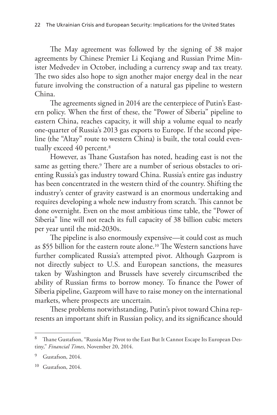The May agreement was followed by the signing of 38 major agreements by Chinese Premier Li Keqiang and Russian Prime Minister Medvedev in October, including a currency swap and tax treaty. The two sides also hope to sign another major energy deal in the near future involving the construction of a natural gas pipeline to western China.

The agreements signed in 2014 are the centerpiece of Putin's Eastern policy. When the first of these, the "Power of Siberia" pipeline to eastern China, reaches capacity, it will ship a volume equal to nearly one-quarter of Russia's 2013 gas exports to Europe. If the second pipeline (the "Altay" route to western China) is built, the total could eventually exceed 40 percent.<sup>8</sup>

However, as Thane Gustafson has noted, heading east is not the same as getting there.<sup>9</sup> There are a number of serious obstacles to orienting Russia's gas industry toward China. Russia's entire gas industry has been concentrated in the western third of the country. Shifting the industry's center of gravity eastward is an enormous undertaking and requires developing a whole new industry from scratch. This cannot be done overnight. Even on the most ambitious time table, the "Power of Siberia" line will not reach its full capacity of 38 billion cubic meters per year until the mid-2030s.

The pipeline is also enormously expensive—it could cost as much as \$55 billion for the eastern route alone.10 The Western sanctions have further complicated Russia's attempted pivot. Although Gazprom is not directly subject to U.S. and European sanctions, the measures taken by Washington and Brussels have severely circumscribed the ability of Russian firms to borrow money. To finance the Power of Siberia pipeline, Gazprom will have to raise money on the international markets, where prospects are uncertain.

These problems notwithstanding, Putin's pivot toward China represents an important shift in Russian policy, and its significance should

<sup>&</sup>lt;sup>8</sup> Thane Gustafson, "Russia May Pivot to the East But It Cannot Escape Its European Destiny," *Financial Times*, November 20, 2014.

<sup>&</sup>lt;sup>9</sup> Gustafson, 2014.

<sup>10</sup> Gustafson, 2014.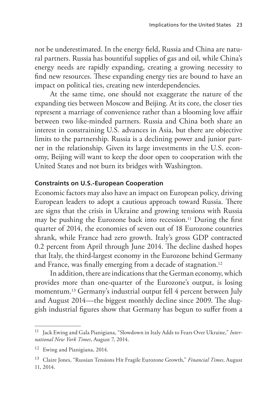not be underestimated. In the energy field, Russia and China are natural partners. Russia has bountiful supplies of gas and oil, while China's energy needs are rapidly expanding, creating a growing necessity to find new resources. These expanding energy ties are bound to have an impact on political ties, creating new interdependencies.

At the same time, one should not exaggerate the nature of the expanding ties between Moscow and Beijing. At its core, the closer ties represent a marriage of convenience rather than a blooming love affair between two like-minded partners. Russia and China both share an interest in constraining U.S. advances in Asia, but there are objective limits to the partnership. Russia is a declining power and junior partner in the relationship. Given its large investments in the U.S. economy, Beijing will want to keep the door open to cooperation with the United States and not burn its bridges with Washington.

#### **Constraints on U.S.-European Cooperation**

Economic factors may also have an impact on European policy, driving European leaders to adopt a cautious approach toward Russia. There are signs that the crisis in Ukraine and growing tensions with Russia may be pushing the Eurozone back into recession.11 During the first quarter of 2014, the economies of seven out of 18 Eurozone countries shrank, while France had zero growth. Italy's gross GDP contracted 0.2 percent from April through June 2014. The decline dashed hopes that Italy, the third-largest economy in the Eurozone behind Germany and France, was finally emerging from a decade of stagnation.<sup>12</sup>

In addition, there are indications that the German economy, which provides more than one-quarter of the Eurozone's output, is losing momentum.13 Germany's industrial output fell 4 percent between July and August 2014—the biggest monthly decline since 2009. The sluggish industrial figures show that Germany has begun to suffer from a

<sup>11</sup> Jack Ewing and Gala Pianigiana, "Slowdown in Italy Adds to Fears Over Ukraine," *International New York Times*, August 7, 2014.

<sup>12</sup> Ewing and Pianigiana, 2014.

<sup>13</sup> Claire Jones, "Russian Tensions Hit Fragile Eurozone Growth," *Financial Times*, August 11, 2014.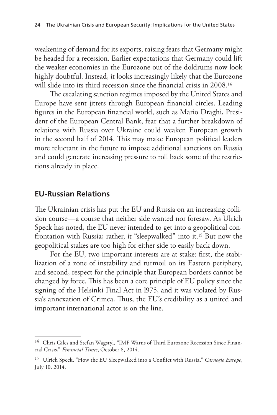weakening of demand for its exports, raising fears that Germany might be headed for a recession. Earlier expectations that Germany could lift the weaker economies in the Eurozone out of the doldrums now look highly doubtful. Instead, it looks increasingly likely that the Eurozone will slide into its third recession since the financial crisis in 2008.14

The escalating sanction regimes imposed by the United States and Europe have sent jitters through European financial circles. Leading figures in the European financial world, such as Mario Draghi, President of the European Central Bank, fear that a further breakdown of relations with Russia over Ukraine could weaken European growth in the second half of 2014. This may make European political leaders more reluctant in the future to impose additional sanctions on Russia and could generate increasing pressure to roll back some of the restrictions already in place.

## **EU-Russian Relations**

The Ukrainian crisis has put the EU and Russia on an increasing collision course—a course that neither side wanted nor foresaw. As Ulrich Speck has noted, the EU never intended to get into a geopolitical confrontation with Russia; rather, it "sleepwalked" into it.15 But now the geopolitical stakes are too high for either side to easily back down.

For the EU, two important interests are at stake: first, the stabilization of a zone of instability and turmoil on its Eastern periphery, and second, respect for the principle that European borders cannot be changed by force. This has been a core principle of EU policy since the signing of the Helsinki Final Act in l975, and it was violated by Russia's annexation of Crimea. Thus, the EU's credibility as a united and important international actor is on the line.

<sup>&</sup>lt;sup>14</sup> Chris Giles and Stefan Wagstyl, "IMF Warns of Third Eurozone Recession Since Financial Crisis," *Financial Times*, October 8, 2014.

<sup>15</sup> Ulrich Speck, "How the EU Sleepwalked into a Conflict with Russia," *Carnegie Europe*, July 10, 2014.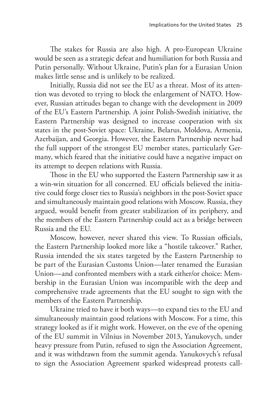The stakes for Russia are also high. A pro-European Ukraine would be seen as a strategic defeat and humiliation for both Russia and Putin personally. Without Ukraine, Putin's plan for a Eurasian Union makes little sense and is unlikely to be realized.

Initially, Russia did not see the EU as a threat. Most of its attention was devoted to trying to block the enlargement of NATO. However, Russian attitudes began to change with the development in 2009 of the EU's Eastern Partnership. A joint Polish-Swedish initiative, the Eastern Partnership was designed to increase cooperation with six states in the post-Soviet space: Ukraine, Belarus, Moldova, Armenia, Azerbaijan, and Georgia. However, the Eastern Partnership never had the full support of the strongest EU member states, particularly Germany, which feared that the initiative could have a negative impact on its attempt to deepen relations with Russia.

Those in the EU who supported the Eastern Partnership saw it as a win-win situation for all concerned. EU officials believed the initiative could forge closer ties to Russia's neighbors in the post-Soviet space and simultaneously maintain good relations with Moscow. Russia, they argued, would benefit from greater stabilization of its periphery, and the members of the Eastern Partnership could act as a bridge between Russia and the EU.

Moscow, however, never shared this view. To Russian officials, the Eastern Partnership looked more like a "hostile takeover." Rather, Russia intended the six states targeted by the Eastern Partnership to be part of the Eurasian Customs Union—later renamed the Eurasian Union—and confronted members with a stark either/or choice: Membership in the Eurasian Union was incompatible with the deep and comprehensive trade agreements that the EU sought to sign with the members of the Eastern Partnership.

Ukraine tried to have it both ways—to expand ties to the EU and simultaneously maintain good relations with Moscow. For a time, this strategy looked as if it might work. However, on the eve of the opening of the EU summit in Vilnius in November 2013, Yanukovych, under heavy pressure from Putin, refused to sign the Association Agreement, and it was withdrawn from the summit agenda. Yanukovych's refusal to sign the Association Agreement sparked widespread protests call-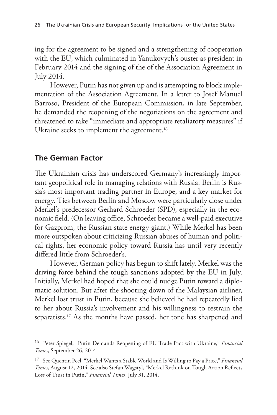ing for the agreement to be signed and a strengthening of cooperation with the EU, which culminated in Yanukovych's ouster as president in February 2014 and the signing of the of the Association Agreement in July 2014.

However, Putin has not given up and is attempting to block implementation of the Association Agreement. In a letter to Josef Manuel Barroso, President of the European Commission, in late September, he demanded the reopening of the negotiations on the agreement and threatened to take "immediate and appropriate retaliatory measures" if Ukraine seeks to implement the agreement.<sup>16</sup>

## **The German Factor**

The Ukrainian crisis has underscored Germany's increasingly important geopolitical role in managing relations with Russia. Berlin is Russia's most important trading partner in Europe, and a key market for energy. Ties between Berlin and Moscow were particularly close under Merkel's predecessor Gerhard Schroeder (SPD), especially in the economic field. (On leaving office, Schroeder became a well-paid executive for Gazprom, the Russian state energy giant.) While Merkel has been more outspoken about criticizing Russian abuses of human and political rights, her economic policy toward Russia has until very recently differed little from Schroeder's.

However, German policy has begun to shift lately. Merkel was the driving force behind the tough sanctions adopted by the EU in July. Initially, Merkel had hoped that she could nudge Putin toward a diplomatic solution. But after the shooting down of the Malaysian airliner, Merkel lost trust in Putin, because she believed he had repeatedly lied to her about Russia's involvement and his willingness to restrain the separatists.<sup>17</sup> As the months have passed, her tone has sharpened and

<sup>16</sup> Peter Spiegel, "Putin Demands Reopening of EU Trade Pact with Ukraine," *Financial Times*, September 26, 2014.

<sup>17</sup> See Quentin Peel, "Merkel Wants a Stable World and Is Willing to Pay a Price," *Financial Times*, August 12, 2014. See also Stefan Wagstyl, "Merkel Rethink on Tough Action Reflects Loss of Trust in Putin," *Financial Times*, July 31, 2014.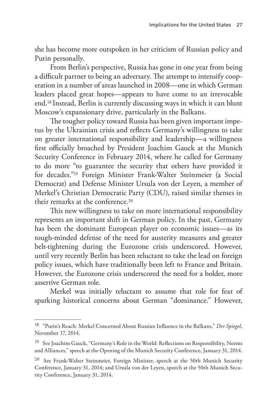she has become more outspoken in her criticism of Russian policy and Putin personally.

From Berlin's perspective, Russia has gone in one year from being a difficult partner to being an adversary. The attempt to intensify cooperation in a number of areas launched in 2008—one in which German leaders placed great hopes—appears to have come to an irrevocable end.18 Instead, Berlin is currently discussing ways in which it can blunt Moscow's expansionary drive, particularly in the Balkans.

The tougher policy toward Russia has been given important impetus by the Ukrainian crisis and reflects Germany's willingness to take on greater international responsibility and leadership—a willingness first officially broached by President Joachim Gauck at the Munich Security Conference in February 2014, where he called for Germany to do more "to guarantee the security that others have provided it for decades."19 Foreign Minister Frank-Walter Steinmeier (a Social Democrat) and Defense Minister Ursula von der Leyen, a member of Merkel's Christian Democratic Party (CDU), raised similar themes in their remarks at the conference.<sup>20</sup>

This new willingness to take on more international responsibility represents an important shift in German policy. In the past, Germany has been the dominant European player on economic issues—as its tough-minded defense of the need for austerity measures and greater belt-tightening during the Eurozone crisis underscored. However, until very recently Berlin has been reluctant to take the lead on foreign policy issues, which have traditionally been left to France and Britain. However, the Eurozone crisis underscored the need for a bolder, more assertive German role.

Merkel was initially reluctant to assume that role for fear of sparking historical concerns about German "dominance." However,

<sup>18</sup> "Putin's Reach: Merkel Concerned About Russian Influence in the Balkans," *Der Spiegel*, November 17, 2014.

<sup>&</sup>lt;sup>19</sup> See Joachim Gauck, "Germany's Role in the World: Reflections on Responsibility, Norms and Alliances," speech at the Opening of the Munich Security Conference, January 31, 2014.

<sup>&</sup>lt;sup>20</sup> See Frank-Walter Steinmeier, Foreign Minister, speech at the 50th Munich Security Conference, January 31, 2014; and Ursula von der Leyen, speech at the 50th Munich Security Conference, January 31, 2014.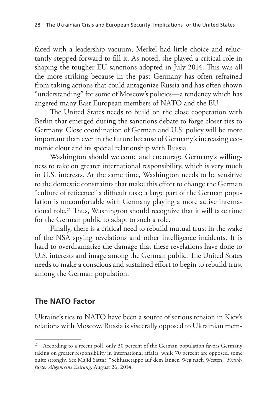faced with a leadership vacuum, Merkel had little choice and reluctantly stepped forward to fill it. As noted, she played a critical role in shaping the tougher EU sanctions adopted in July 2014. This was all the more striking because in the past Germany has often refrained from taking actions that could antagonize Russia and has often shown "understanding" for some of Moscow's policies—a tendency which has angered many East European members of NATO and the EU.

The United States needs to build on the close cooperation with Berlin that emerged during the sanctions debate to forge closer ties to Germany. Close coordination of German and U.S. policy will be more important than ever in the future because of Germany's increasing economic clout and its special relationship with Russia.

Washington should welcome and encourage Germany's willingness to take on greater international responsibility, which is very much in U.S. interests. At the same time, Washington needs to be sensitive to the domestic constraints that make this effort to change the German "culture of reticence" a difficult task; a large part of the German population is uncomfortable with Germany playing a more active international role.21 Thus, Washington should recognize that it will take time for the German public to adapt to such a role.

Finally, there is a critical need to rebuild mutual trust in the wake of the NSA spying revelations and other intelligence incidents. It is hard to overdramatize the damage that these revelations have done to U.S. interests and image among the German public. The United States needs to make a conscious and sustained effort to begin to rebuild trust among the German population.

# **The NATO Factor**

Ukraine's ties to NATO have been a source of serious tension in Kiev's relations with Moscow. Russia is viscerally opposed to Ukrainian mem-

<sup>&</sup>lt;sup>21</sup> According to a recent poll, only 30 percent of the German population favors Germany taking on greater responsibility in international affairs, while 70 percent are opposed, some quite strongly. See Majid Sattar, "Schlussetappe auf dem langen Weg nach Westen," *Frankfurter Allgemeine Zeitung*, August 26, 2014.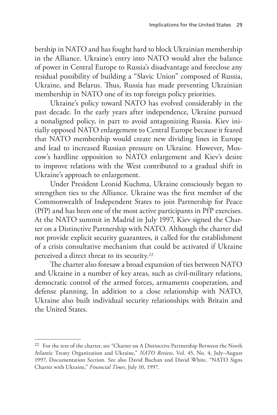bership in NATO and has fought hard to block Ukrainian membership in the Alliance. Ukraine's entry into NATO would alter the balance of power in Central Europe to Russia's disadvantage and foreclose any residual possibility of building a "Slavic Union" composed of Russia, Ukraine, and Belarus. Thus, Russia has made preventing Ukrainian membership in NATO one of its top foreign policy priorities.

Ukraine's policy toward NATO has evolved considerably in the past decade. In the early years after independence, Ukraine pursued a nonaligned policy, in part to avoid antagonizing Russia. Kiev initially opposed NATO enlargement to Central Europe because it feared that NATO membership would create new dividing lines in Europe and lead to increased Russian pressure on Ukraine. However, Moscow's hardline opposition to NATO enlargement and Kiev's desire to improve relations with the West contributed to a gradual shift in Ukraine's approach to enlargement.

Under President Leonid Kuchma, Ukraine consciously began to strengthen ties to the Alliance. Ukraine was the first member of the Commonwealth of Independent States to join Partnership for Peace (PfP) and has been one of the most active participants in PfP exercises. At the NATO summit in Madrid in July 1997, Kiev signed the Charter on a Distinctive Partnership with NATO. Although the charter did not provide explicit security guarantees, it called for the establishment of a crisis consultative mechanism that could be activated if Ukraine perceived a direct threat to its security.22

The charter also foresaw a broad expansion of ties between NATO and Ukraine in a number of key areas, such as civil-military relations, democratic control of the armed forces, armaments cooperation, and defense planning. In addition to a close relationship with NATO, Ukraine also built individual security relationships with Britain and the United States.

<sup>22</sup> For the text of the charter, see "Charter on A Distinctive Partnership Between the North Atlantic Treaty Organization and Ukraine," *NATO Review*, Vol. 45, No. 4, July–August 1997, Documentation Section. See also David Buchan and David White, "NATO Signs Charter with Ukraine," *Financial Times*, July 10, 1997.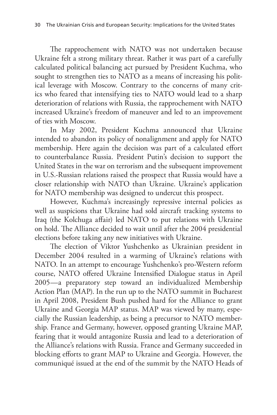The rapprochement with NATO was not undertaken because Ukraine felt a strong military threat. Rather it was part of a carefully calculated political balancing act pursued by President Kuchma, who sought to strengthen ties to NATO as a means of increasing his political leverage with Moscow. Contrary to the concerns of many critics who feared that intensifying ties to NATO would lead to a sharp deterioration of relations with Russia, the rapprochement with NATO increased Ukraine's freedom of maneuver and led to an improvement of ties with Moscow.

In May 2002, President Kuchma announced that Ukraine intended to abandon its policy of nonalignment and apply for NATO membership. Here again the decision was part of a calculated effort to counterbalance Russia. President Putin's decision to support the United States in the war on terrorism and the subsequent improvement in U.S.-Russian relations raised the prospect that Russia would have a closer relationship with NATO than Ukraine. Ukraine's application for NATO membership was designed to undercut this prospect.

However, Kuchma's increasingly repressive internal policies as well as suspicions that Ukraine had sold aircraft tracking systems to Iraq (the Kolchuga affair) led NATO to put relations with Ukraine on hold. The Alliance decided to wait until after the 2004 presidential elections before taking any new initiatives with Ukraine.

The election of Viktor Yushchenko as Ukrainian president in December 2004 resulted in a warming of Ukraine's relations with NATO. In an attempt to encourage Yushchenko's pro-Western reform course, NATO offered Ukraine Intensified Dialogue status in April 2005—a preparatory step toward an individualized Membership Action Plan (MAP). In the run up to the NATO summit in Bucharest in April 2008, President Bush pushed hard for the Alliance to grant Ukraine and Georgia MAP status. MAP was viewed by many, especially the Russian leadership, as being a precursor to NATO membership. France and Germany, however, opposed granting Ukraine MAP, fearing that it would antagonize Russia and lead to a deterioration of the Alliance's relations with Russia. France and Germany succeeded in blocking efforts to grant MAP to Ukraine and Georgia. However, the communiqué issued at the end of the summit by the NATO Heads of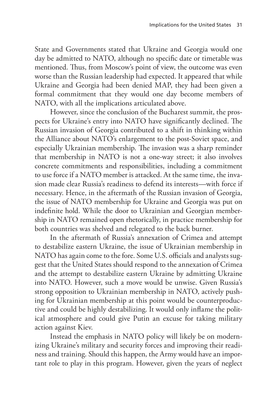State and Governments stated that Ukraine and Georgia would one day be admitted to NATO, although no specific date or timetable was mentioned. Thus, from Moscow's point of view, the outcome was even worse than the Russian leadership had expected. It appeared that while Ukraine and Georgia had been denied MAP, they had been given a formal commitment that they would one day become members of NATO, with all the implications articulated above.

However, since the conclusion of the Bucharest summit, the prospects for Ukraine's entry into NATO have significantly declined. The Russian invasion of Georgia contributed to a shift in thinking within the Alliance about NATO's enlargement to the post-Soviet space, and especially Ukrainian membership. The invasion was a sharp reminder that membership in NATO is not a one-way street; it also involves concrete commitments and responsibilities, including a commitment to use force if a NATO member is attacked. At the same time, the invasion made clear Russia's readiness to defend its interests—with force if necessary. Hence, in the aftermath of the Russian invasion of Georgia, the issue of NATO membership for Ukraine and Georgia was put on indefinite hold. While the door to Ukrainian and Georgian membership in NATO remained open rhetorically, in practice membership for both countries was shelved and relegated to the back burner.

In the aftermath of Russia's annexation of Crimea and attempt to destabilize eastern Ukraine, the issue of Ukrainian membership in NATO has again come to the fore. Some U.S. officials and analysts suggest that the United States should respond to the annexation of Crimea and the attempt to destabilize eastern Ukraine by admitting Ukraine into NATO. However, such a move would be unwise. Given Russia's strong opposition to Ukrainian membership in NATO, actively pushing for Ukrainian membership at this point would be counterproductive and could be highly destabilizing. It would only inflame the political atmosphere and could give Putin an excuse for taking military action against Kiev.

Instead the emphasis in NATO policy will likely be on modernizing Ukraine's military and security forces and improving their readiness and training. Should this happen, the Army would have an important role to play in this program. However, given the years of neglect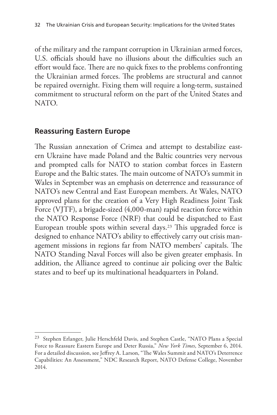of the military and the rampant corruption in Ukrainian armed forces, U.S. officials should have no illusions about the difficulties such an effort would face. There are no quick fixes to the problems confronting the Ukrainian armed forces. The problems are structural and cannot be repaired overnight. Fixing them will require a long-term, sustained commitment to structural reform on the part of the United States and NATO.

# **Reassuring Eastern Europe**

The Russian annexation of Crimea and attempt to destabilize eastern Ukraine have made Poland and the Baltic countries very nervous and prompted calls for NATO to station combat forces in Eastern Europe and the Baltic states. The main outcome of NATO's summit in Wales in September was an emphasis on deterrence and reassurance of NATO's new Central and East European members. At Wales, NATO approved plans for the creation of a Very High Readiness Joint Task Force (VJTF), a brigade-sized (4,000-man) rapid reaction force within the NATO Response Force (NRF) that could be dispatched to East European trouble spots within several days.<sup>23</sup> This upgraded force is designed to enhance NATO's ability to effectively carry out crisis management missions in regions far from NATO members' capitals. The NATO Standing Naval Forces will also be given greater emphasis. In addition, the Alliance agreed to continue air policing over the Baltic states and to beef up its multinational headquarters in Poland.

<sup>23</sup> Stephen Erlanger, Julie Herschfeld Davis, and Stephen Castle, "NATO Plans a Special Force to Reassure Eastern Europe and Deter Russia," *New York Times*, September 6, 2014. For a detailed discussion, see Jeffrey A. Larson, "The Wales Summit and NATO's Deterrence Capabilities: An Assessment," NDC Research Report, NATO Defense College, November 2014.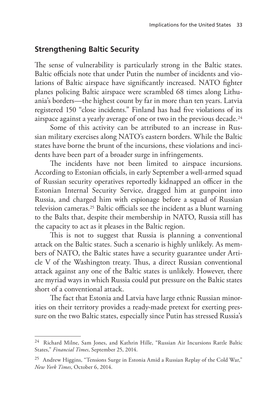# **Strengthening Baltic Security**

The sense of vulnerability is particularly strong in the Baltic states. Baltic officials note that under Putin the number of incidents and violations of Baltic airspace have significantly increased. NATO fighter planes policing Baltic airspace were scrambled 68 times along Lithuania's borders—the highest count by far in more than ten years. Latvia registered 150 "close incidents." Finland has had five violations of its airspace against a yearly average of one or two in the previous decade.<sup>24</sup>

Some of this activity can be attributed to an increase in Russian military exercises along NATO's eastern borders. While the Baltic states have borne the brunt of the incursions, these violations and incidents have been part of a broader surge in infringements.

The incidents have not been limited to airspace incursions. According to Estonian officials, in early September a well-armed squad of Russian security operatives reportedly kidnapped an officer in the Estonian Internal Security Service, dragged him at gunpoint into Russia, and charged him with espionage before a squad of Russian television cameras.25 Baltic officials see the incident as a blunt warning to the Balts that, despite their membership in NATO, Russia still has the capacity to act as it pleases in the Baltic region.

This is not to suggest that Russia is planning a conventional attack on the Baltic states. Such a scenario is highly unlikely. As members of NATO, the Baltic states have a security guarantee under Article V of the Washington treaty. Thus, a direct Russian conventional attack against any one of the Baltic states is unlikely. However, there are myriad ways in which Russia could put pressure on the Baltic states short of a conventional attack.

The fact that Estonia and Latvia have large ethnic Russian minorities on their territory provides a ready-made pretext for exerting pressure on the two Baltic states, especially since Putin has stressed Russia's

<sup>24</sup> Richard Milne, Sam Jones, and Kathrin Hille, "Russian Air Incursions Rattle Baltic States," *Financial Times*, September 25, 2014.

<sup>&</sup>lt;sup>25</sup> Andrew Higgins, "Tensions Surge in Estonia Amid a Russian Replay of the Cold War," *New York Times*, October 6, 2014.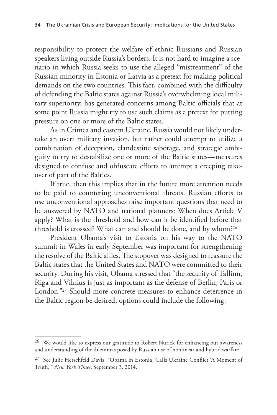responsibility to protect the welfare of ethnic Russians and Russian speakers living outside Russia's borders. It is not hard to imagine a scenario in which Russia seeks to use the alleged "mistreatment" of the Russian minority in Estonia or Latvia as a pretext for making political demands on the two countries. This fact, combined with the difficulty of defending the Baltic states against Russia's overwhelming local military superiority, has generated concerns among Baltic officials that at some point Russia might try to use such claims as a pretext for putting pressure on one or more of the Baltic states.

As in Crimea and eastern Ukraine, Russia would not likely undertake an overt military invasion, but rather could attempt to utilize a combination of deception, clandestine sabotage, and strategic ambiguity to try to destabilize one or more of the Baltic states—measures designed to confuse and obfuscate efforts to attempt a creeping takeover of part of the Baltics.

If true, then this implies that in the future more attention needs to be paid to countering unconventional threats. Russian efforts to use unconventional approaches raise important questions that need to be answered by NATO and national planners: When does Article V apply? What is the threshold and how can it be identified before that threshold is crossed? What can and should be done, and by whom?26

President Obama's visit to Estonia on his way to the NATO summit in Wales in early September was important for strengthening the resolve of the Baltic allies. The stopover was designed to reassure the Baltic states that the United States and NATO were committed to their security. During his visit, Obama stressed that "the security of Tallinn, Riga and Vilnius is just as important as the defense of Berlin, Paris or London."27 Should more concrete measures to enhance deterrence in the Baltic region be desired, options could include the following:

<sup>&</sup>lt;sup>26</sup> We would like to express our gratitude to Robert Nurick for enhancing our awareness and understanding of the dilemmas posed by Russian use of nonlinear and hybrid warfare.

<sup>27</sup> See Julie Herschfeld Davis, "Obama in Estonia, Calls Ukraine Conflict 'A Moment of Truth,'" *New York Times*, September 3, 2014.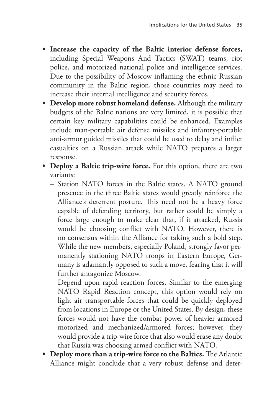- **• Increase the capacity of the Baltic interior defense forces,** including Special Weapons And Tactics (SWAT) teams, riot police, and motorized national police and intelligence services. Due to the possibility of Moscow inflaming the ethnic Russian community in the Baltic region, those countries may need to increase their internal intelligence and security forces.
- **• Develop more robust homeland defense.** Although the military budgets of the Baltic nations are very limited, it is possible that certain key military capabilities could be enhanced. Examples include man-portable air defense missiles and infantry-portable anti-armor guided missiles that could be used to delay and inflict casualties on a Russian attack while NATO prepares a larger response.
- **• Deploy a Baltic trip-wire force.** For this option, there are two variants:
	- Station NATO forces in the Baltic states. A NATO ground presence in the three Baltic states would greatly reinforce the Alliance's deterrent posture. This need not be a heavy force capable of defending territory, but rather could be simply a force large enough to make clear that, if it attacked, Russia would be choosing conflict with NATO. However, there is no consensus within the Alliance for taking such a bold step. While the new members, especially Poland, strongly favor permanently stationing NATO troops in Eastern Europe, Germany is adamantly opposed to such a move, fearing that it will further antagonize Moscow.
	- Depend upon rapid reaction forces. Similar to the emerging NATO Rapid Reaction concept, this option would rely on light air transportable forces that could be quickly deployed from locations in Europe or the United States. By design, these forces would not have the combat power of heavier armored motorized and mechanized/armored forces; however, they would provide a trip-wire force that also would erase any doubt that Russia was choosing armed conflict with NATO.
- **• Deploy more than a trip-wire force to the Baltics.** The Atlantic Alliance might conclude that a very robust defense and deter-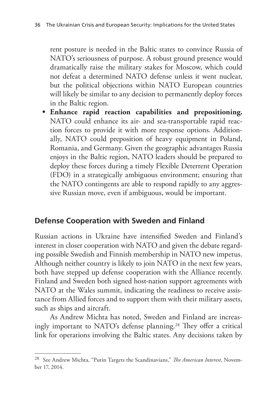rent posture is needed in the Baltic states to convince Russia of NATO's seriousness of purpose. A robust ground presence would dramatically raise the military stakes for Moscow, which could not defeat a determined NATO defense unless it went nuclear, but the political objections within NATO European countries will likely be similar to any decision to permanently deploy forces in the Baltic region.

**• Enhance rapid reaction capabilities and prepositioning.** NATO could enhance its air- and sea-transportable rapid reaction forces to provide it with more response options. Additionally, NATO could preposition of heavy equipment in Poland, Romania, and Germany. Given the geographic advantages Russia enjoys in the Baltic region, NATO leaders should be prepared to deploy these forces during a timely Flexible Deterrent Operation (FDO) in a strategically ambiguous environment; ensuring that the NATO contingents are able to respond rapidly to any aggressive Russian move, even if ambiguous, would be important.

# **Defense Cooperation with Sweden and Finland**

Russian actions in Ukraine have intensified Sweden and Finland's interest in closer cooperation with NATO and given the debate regarding possible Swedish and Finnish membership in NATO new impetus. Although neither country is likely to join NATO in the next few years, both have stepped up defense cooperation with the Alliance recently. Finland and Sweden both signed host-nation support agreements with NATO at the Wales summit, indicating the readiness to receive assistance from Allied forces and to support them with their military assets, such as ships and aircraft.

As Andrew Michta has noted, Sweden and Finland are increasingly important to NATO's defense planning.<sup>28</sup> They offer a critical link for operations involving the Baltic states. Any decisions taken by

<sup>28</sup> See Andrew Michta, "Putin Targets the Scandinavians," *The American Interest*, November 17, 2014.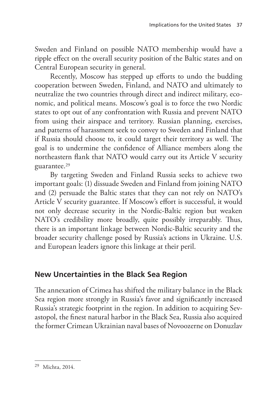Sweden and Finland on possible NATO membership would have a ripple effect on the overall security position of the Baltic states and on Central European security in general.

Recently, Moscow has stepped up efforts to undo the budding cooperation between Sweden, Finland, and NATO and ultimately to neutralize the two countries through direct and indirect military, economic, and political means. Moscow's goal is to force the two Nordic states to opt out of any confrontation with Russia and prevent NATO from using their airspace and territory. Russian planning, exercises, and patterns of harassment seek to convey to Sweden and Finland that if Russia should choose to, it could target their territory as well. The goal is to undermine the confidence of Alliance members along the northeastern flank that NATO would carry out its Article V security guarantee.29

By targeting Sweden and Finland Russia seeks to achieve two important goals: (1) dissuade Sweden and Finland from joining NATO and (2) persuade the Baltic states that they can not rely on NATO's Article V security guarantee. If Moscow's effort is successful, it would not only decrease security in the Nordic-Baltic region but weaken NATO's credibility more broadly, quite possibly irreparably. Thus, there is an important linkage between Nordic-Baltic security and the broader security challenge posed by Russia's actions in Ukraine. U.S. and European leaders ignore this linkage at their peril.

# **New Uncertainties in the Black Sea Region**

The annexation of Crimea has shifted the military balance in the Black Sea region more strongly in Russia's favor and significantly increased Russia's strategic footprint in the region. In addition to acquiring Sevastopol, the finest natural harbor in the Black Sea, Russia also acquired the former Crimean Ukrainian naval bases of Novoozerne on Donuzlav

<sup>29</sup> Michta, 2014.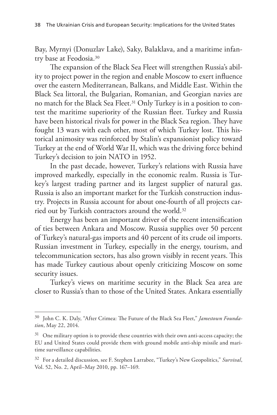Bay, Myrnyi (Donuzlav Lake), Saky, Balaklava, and a maritime infantry base at Feodosia.30

The expansion of the Black Sea Fleet will strengthen Russia's ability to project power in the region and enable Moscow to exert influence over the eastern Mediterranean, Balkans, and Middle East. Within the Black Sea littoral, the Bulgarian, Romanian, and Georgian navies are no match for the Black Sea Fleet.31 Only Turkey is in a position to contest the maritime superiority of the Russian fleet. Turkey and Russia have been historical rivals for power in the Black Sea region. They have fought 13 wars with each other, most of which Turkey lost. This historical animosity was reinforced by Stalin's expansionist policy toward Turkey at the end of World War II, which was the driving force behind Turkey's decision to join NATO in 1952.

In the past decade, however, Turkey's relations with Russia have improved markedly, especially in the economic realm. Russia is Turkey's largest trading partner and its largest supplier of natural gas. Russia is also an important market for the Turkish construction industry. Projects in Russia account for about one-fourth of all projects carried out by Turkish contractors around the world.32

Energy has been an important driver of the recent intensification of ties between Ankara and Moscow. Russia supplies over 50 percent of Turkey's natural-gas imports and 40 percent of its crude oil imports. Russian investment in Turkey, especially in the energy, tourism, and telecommunication sectors, has also grown visibly in recent years. This has made Turkey cautious about openly criticizing Moscow on some security issues.

Turkey's views on maritime security in the Black Sea area are closer to Russia's than to those of the United States. Ankara essentially

<sup>30</sup> John C. K. Daly, "After Crimea: The Future of the Black Sea Fleet," *Jamestown Foundation*, May 22, 2014.

 $31$  One military option is to provide these countries with their own anti-access capacity; the EU and United States could provide them with ground mobile anti-ship missile and maritime surveillance capabilities.

<sup>32</sup> For a detailed discussion, see F. Stephen Larrabee, "Turkey's New Geopolitics," *Survival*, Vol. 52, No. 2, April–May 2010, pp. 167–169.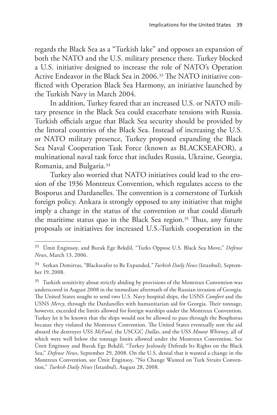regards the Black Sea as a "Turkish lake" and opposes an expansion of both the NATO and the U.S. military presence there. Turkey blocked a U.S. initiative designed to increase the role of NATO's Operation Active Endeavor in the Black Sea in 2006.33 The NATO initiative conflicted with Operation Black Sea Harmony, an initiative launched by the Turkish Navy in March 2004.

In addition, Turkey feared that an increased U.S. or NATO military presence in the Black Sea could exacerbate tensions with Russia. Turkish officials argue that Black Sea security should be provided by the littoral countries of the Black Sea. Instead of increasing the U.S. or NATO military presence, Turkey proposed expanding the Black Sea Naval Cooperation Task Force (known as BLACKSEAFOR), a multinational naval task force that includes Russia, Ukraine, Georgia, Romania, and Bulgaria.34

Turkey also worried that NATO initiatives could lead to the erosion of the 1936 Montreux Convention, which regulates access to the Bosporus and Dardanelles. The convention is a cornerstone of Turkish foreign policy. Ankara is strongly opposed to any initiative that might imply a change in the status of the convention or that could disturb the maritime status quo in the Black Sea region.<sup>35</sup> Thus, any future proposals or initiatives for increased U.S.-Turkish cooperation in the

<sup>33</sup> Ümit Enginsoy, and Burak Ege Bekdil, "Turks Oppose U.S. Black Sea Move," *Defense News*, March 13, 2006.

<sup>34</sup> Serkan Demirtas, "Blackseafor to Be Expanded*," Turkish Daily News* (Istanbul)*,* September 19, 2008.

<sup>&</sup>lt;sup>35</sup> Turkish sensitivity about strictly abiding by provisions of the Montreux Convention was underscored in August 2008 in the immediate aftermath of the Russian invasion of Georgia. The United States sought to send two U.S. Navy hospital ships, the USNS *Comfort* and the USNS *Mercy*, through the Dardanelles with humanitarian aid for Georgia. Their tonnage, however, exceeded the limits allowed for foreign warships under the Montreux Convention. Turkey let it be known that the ships would not be allowed to pass through the Bosphorus because they violated the Montreux Convention. The United States eventually sent the aid aboard the destroyer USS *McFaul*, the USCGC *Dallas*, and the USS *Mount Whitney*, all of which were well below the tonnage limits allowed under the Montreux Convention. See Ümit Enginsoy and Burak Ege Bekdil, "Turkey Jealously Defends Its Rights on the Black Sea," *Defense News*, September 29, 2008. On the U.S. denial that it wanted a change in the Montreux Convention, see Ümit Enginsoy, "No Change Wanted on Turk Straits Convention," *Turkish Daily News* (Istanbul), August 28, 2008.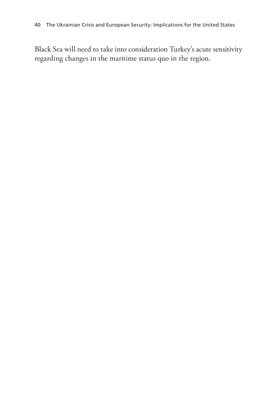Black Sea will need to take into consideration Turkey's acute sensitivity regarding changes in the maritime status quo in the region.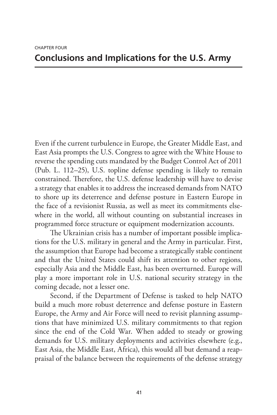Even if the current turbulence in Europe, the Greater Middle East, and East Asia prompts the U.S. Congress to agree with the White House to reverse the spending cuts mandated by the Budget Control Act of 2011 (Pub. L. 112–25), U.S. topline defense spending is likely to remain constrained. Therefore, the U.S. defense leadership will have to devise a strategy that enables it to address the increased demands from NATO to shore up its deterrence and defense posture in Eastern Europe in the face of a revisionist Russia, as well as meet its commitments elsewhere in the world, all without counting on substantial increases in programmed force structure or equipment modernization accounts.

The Ukrainian crisis has a number of important possible implications for the U.S. military in general and the Army in particular. First, the assumption that Europe had become a strategically stable continent and that the United States could shift its attention to other regions, especially Asia and the Middle East, has been overturned. Europe will play a more important role in U.S. national security strategy in the coming decade, not a lesser one.

Second, if the Department of Defense is tasked to help NATO build a much more robust deterrence and defense posture in Eastern Europe, the Army and Air Force will need to revisit planning assumptions that have minimized U.S. military commitments to that region since the end of the Cold War. When added to steady or growing demands for U.S. military deployments and activities elsewhere (e.g., East Asia, the Middle East, Africa), this would all but demand a reappraisal of the balance between the requirements of the defense strategy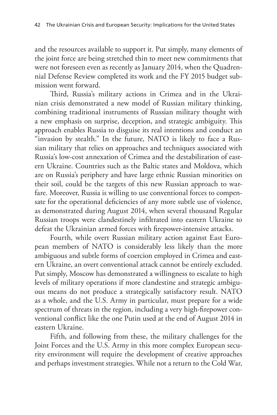and the resources available to support it. Put simply, many elements of the joint force are being stretched thin to meet new commitments that were not foreseen even as recently as January 2014, when the Quadrennial Defense Review completed its work and the FY 2015 budget submission went forward.

Third, Russia's military actions in Crimea and in the Ukrainian crisis demonstrated a new model of Russian military thinking, combining traditional instruments of Russian military thought with a new emphasis on surprise, deception, and strategic ambiguity. This approach enables Russia to disguise its real intentions and conduct an "invasion by stealth." In the future, NATO is likely to face a Russian military that relies on approaches and techniques associated with Russia's low-cost annexation of Crimea and the destabilization of eastern Ukraine. Countries such as the Baltic states and Moldova, which are on Russia's periphery and have large ethnic Russian minorities on their soil, could be the targets of this new Russian approach to warfare. Moreover, Russia is willing to use conventional forces to compensate for the operational deficiencies of any more subtle use of violence, as demonstrated during August 2014, when several thousand Regular Russian troops were clandestinely infiltrated into eastern Ukraine to defeat the Ukrainian armed forces with firepower-intensive attacks.

Fourth, while overt Russian military action against East European members of NATO is considerably less likely than the more ambiguous and subtle forms of coercion employed in Crimea and eastern Ukraine, an overt conventional attack cannot be entirely excluded. Put simply, Moscow has demonstrated a willingness to escalate to high levels of military operations if more clandestine and strategic ambiguous means do not produce a strategically satisfactory result. NATO as a whole, and the U.S. Army in particular, must prepare for a wide spectrum of threats in the region, including a very high-firepower conventional conflict like the one Putin used at the end of August 2014 in eastern Ukraine.

Fifth, and following from these, the military challenges for the Joint Forces and the U.S. Army in this more complex European security environment will require the development of creative approaches and perhaps investment strategies. While not a return to the Cold War,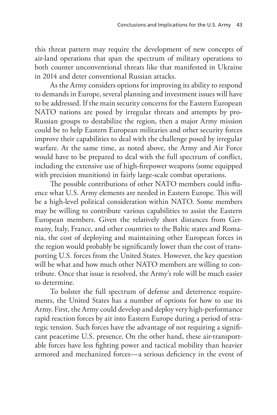this threat pattern may require the development of new concepts of air-land operations that span the spectrum of military operations to both counter unconventional threats like that manifested in Ukraine in 2014 and deter conventional Russian attacks.

As the Army considers options for improving its ability to respond to demands in Europe, several planning and investment issues will have to be addressed. If the main security concerns for the Eastern European NATO nations are posed by irregular threats and attempts by pro-Russian groups to destabilize the region, then a major Army mission could be to help Eastern European militaries and other security forces improve their capabilities to deal with the challenge posed by irregular warfare. At the same time, as noted above, the Army and Air Force would have to be prepared to deal with the full spectrum of conflict, including the extensive use of high-firepower weapons (some equipped with precision munitions) in fairly large-scale combat operations.

The possible contributions of other NATO members could influence what U.S. Army elements are needed in Eastern Europe. This will be a high-level political consideration within NATO. Some members may be willing to contribute various capabilities to assist the Eastern European members. Given the relatively short distances from Germany, Italy, France, and other countries to the Baltic states and Romania, the cost of deploying and maintaining other European forces in the region would probably be significantly lower than the cost of transporting U.S. forces from the United States. However, the key question will be what and how much other NATO members are willing to contribute. Once that issue is resolved, the Army's role will be much easier to determine.

To bolster the full spectrum of defense and deterrence requirements, the United States has a number of options for how to use its Army. First, the Army could develop and deploy very high-performance rapid reaction forces by air into Eastern Europe during a period of strategic tension. Such forces have the advantage of not requiring a significant peacetime U.S. presence. On the other hand, these air-transportable forces have less fighting power and tactical mobility than heavier armored and mechanized forces—a serious deficiency in the event of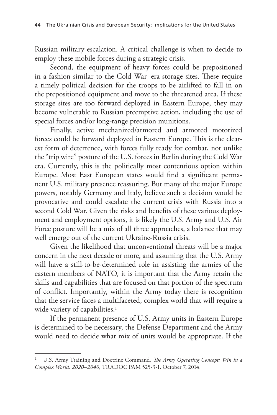Russian military escalation. A critical challenge is when to decide to employ these mobile forces during a strategic crisis.

Second, the equipment of heavy forces could be prepositioned in a fashion similar to the Cold War–era storage sites. These require a timely political decision for the troops to be airlifted to fall in on the prepositioned equipment and move to the threatened area. If these storage sites are too forward deployed in Eastern Europe, they may become vulnerable to Russian preemptive action, including the use of special forces and/or long-range precision munitions.

Finally, active mechanized/armored and armored motorized forces could be forward deployed in Eastern Europe. This is the clearest form of deterrence, with forces fully ready for combat, not unlike the "trip wire" posture of the U.S. forces in Berlin during the Cold War era. Currently, this is the politically most contentious option within Europe. Most East European states would find a significant permanent U.S. military presence reassuring. But many of the major Europe powers, notably Germany and Italy, believe such a decision would be provocative and could escalate the current crisis with Russia into a second Cold War. Given the risks and benefits of these various deployment and employment options, it is likely the U.S. Army and U.S. Air Force posture will be a mix of all three approaches, a balance that may well emerge out of the current Ukraine-Russia crisis.

Given the likelihood that unconventional threats will be a major concern in the next decade or more, and assuming that the U.S. Army will have a still-to-be-determined role in assisting the armies of the eastern members of NATO, it is important that the Army retain the skills and capabilities that are focused on that portion of the spectrum of conflict. Importantly, within the Army today there is recognition that the service faces a multifaceted, complex world that will require a wide variety of capabilities.<sup>1</sup>

If the permanent presence of U.S. Army units in Eastern Europe is determined to be necessary, the Defense Department and the Army would need to decide what mix of units would be appropriate. If the

<sup>1</sup> U.S. Army Training and Doctrine Command, *The Army Operating Concept: Win in a Complex World, 2020–2040*, TRADOC PAM 525-3-1, October 7, 2014.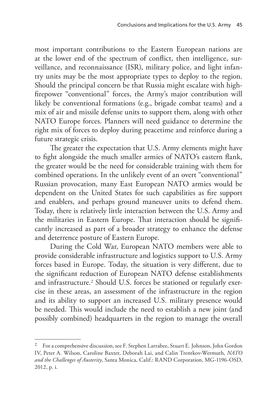most important contributions to the Eastern European nations are at the lower end of the spectrum of conflict, then intelligence, surveillance, and reconnaissance (ISR), military police, and light infantry units may be the most appropriate types to deploy to the region. Should the principal concern be that Russia might escalate with highfirepower "conventional" forces, the Army's major contribution will likely be conventional formations (e.g., brigade combat teams) and a mix of air and missile defense units to support them, along with other NATO Europe forces. Planners will need guidance to determine the right mix of forces to deploy during peacetime and reinforce during a future strategic crisis.

The greater the expectation that U.S. Army elements might have to fight alongside the much smaller armies of NATO's eastern flank, the greater would be the need for considerable training with them for combined operations. In the unlikely event of an overt "conventional" Russian provocation, many East European NATO armies would be dependent on the United States for such capabilities as fire support and enablers, and perhaps ground maneuver units to defend them. Today, there is relatively little interaction between the U.S. Army and the militaries in Eastern Europe. That interaction should be significantly increased as part of a broader strategy to enhance the defense and deterrence posture of Eastern Europe.

During the Cold War, European NATO members were able to provide considerable infrastructure and logistics support to U.S. Army forces based in Europe. Today, the situation is very different, due to the significant reduction of European NATO defense establishments and infrastructure.2 Should U.S. forces be stationed or regularly exercise in these areas, an assessment of the infrastructure in the region and its ability to support an increased U.S. military presence would be needed. This would include the need to establish a new joint (and possibly combined) headquarters in the region to manage the overall

<sup>&</sup>lt;sup>2</sup> For a comprehensive discussion, see F. Stephen Larrabee, Stuart E. Johnson, John Gordon IV, Peter A. Wilson, Caroline Baxter, Deborah Lai, and Calin Trentkov-Wermuth, *NATO and the Challenges of Austerity*, Santa Monica, Calif.: RAND Corporation, MG-1196-OSD, 2012, p. i.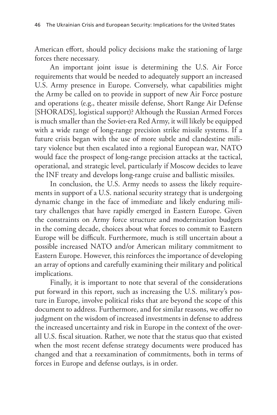American effort, should policy decisions make the stationing of large forces there necessary.

An important joint issue is determining the U.S. Air Force requirements that would be needed to adequately support an increased U.S. Army presence in Europe. Conversely, what capabilities might the Army be called on to provide in support of new Air Force posture and operations (e.g., theater missile defense, Short Range Air Defense [SHORADS], logistical support)? Although the Russian Armed Forces is much smaller than the Soviet-era Red Army, it will likely be equipped with a wide range of long-range precision strike missile systems. If a future crisis began with the use of more subtle and clandestine military violence but then escalated into a regional European war, NATO would face the prospect of long-range precision attacks at the tactical, operational, and strategic level, particularly if Moscow decides to leave the INF treaty and develops long-range cruise and ballistic missiles.

In conclusion, the U.S. Army needs to assess the likely requirements in support of a U.S. national security strategy that is undergoing dynamic change in the face of immediate and likely enduring military challenges that have rapidly emerged in Eastern Europe. Given the constraints on Army force structure and modernization budgets in the coming decade, choices about what forces to commit to Eastern Europe will be difficult. Furthermore, much is still uncertain about a possible increased NATO and/or American military commitment to Eastern Europe. However, this reinforces the importance of developing an array of options and carefully examining their military and political implications.

Finally, it is important to note that several of the considerations put forward in this report, such as increasing the U.S. military's posture in Europe, involve political risks that are beyond the scope of this document to address. Furthermore, and for similar reasons, we offer no judgment on the wisdom of increased investments in defense to address the increased uncertainty and risk in Europe in the context of the overall U.S. fiscal situation. Rather, we note that the status quo that existed when the most recent defense strategy documents were produced has changed and that a reexamination of commitments, both in terms of forces in Europe and defense outlays, is in order.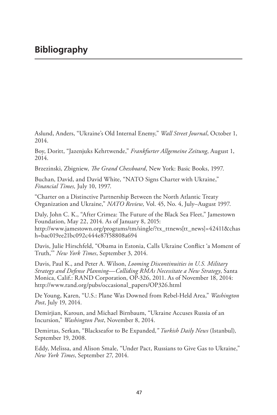Aslund, Anders, "Ukraine's Old Internal Enemy," *Wall Street Journal*, October 1, 2014.

Boy, Doritt, "Jazenjuks Kehrtwende," *Frankfurter Allgemeine Zeitung*, August 1, 2014.

Brzezinski, Zbigniew, *The Grand Chessboard*, New York: Basic Books, 1997.

Buchan, David, and David White, "NATO Signs Charter with Ukraine," *Financial Times,* July 10, 1997.

"Charter on a Distinctive Partnership Between the North Atlantic Treaty Organization and Ukraine," *NATO Review,* Vol. 45, No. 4, July–August 1997.

Daly, John C. K., "After Crimea: The Future of the Black Sea Fleet," Jamestown Foundation, May 22, 2014. As of January 8, 2015: [http://www.jamestown.org/programs/tm/single/?tx\\_ttnews\[tt\\_news\]=42411&chas](http://www.jamestown.org/programs/tm/single/?tx_ttnews[tt_news]=42411&chash=bac019ee21bc092c444e87f58808a694) h=bac019ee21bc092c444e87f58808a694

Davis, Julie Hirschfeld, "Obama in Estonia, Calls Ukraine Conflict 'a Moment of Truth,'" *New York Times*, September 3, 2014.

Davis, Paul K., and Peter A. Wilson, *Looming Discontinuities in U.S. Military Strategy and Defense Planning—Colliding RMAs Necessitate a New Strategy*, Santa Monica, Calif.: RAND Corporation, OP-326, 2011. As of November 18, 2014: [http://www.rand.org/pubs/occasional\\_papers/OP326.html](http://www.rand.org/pubs/occasional_papers/OP326.html)

De Young, Karen, "U.S.: Plane Was Downed from Rebel-Held Area," *Washington Post*, July 19, 2014.

Demirjian, Karoun, and Michael Birnbaum, "Ukraine Accuses Russia of an Incursion," *Washington Post*, November 8, 2014.

Demirtas, Serkan, "Blackseafor to Be Expanded*," Turkish Daily News* (Istanbul)*,* September 19, 2008.

Eddy, Melissa, and Alison Smale, "Under Pact, Russians to Give Gas to Ukraine," *New York Times*, September 27, 2014.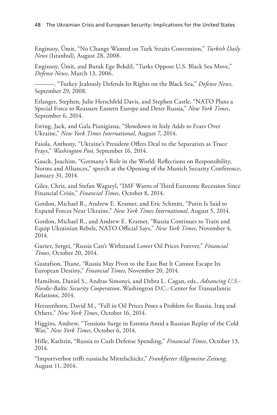Enginsoy, Ümit, "No Change Wanted on Turk Straits Convention," *Turkish Daily News* (Istanbul), August 28, 2008.

Enginsoy, Ümit, and Burak Ege Bekdil, "Turks Oppose U.S. Black Sea Move," *Defense News*, March 13, 2006.

———, "Turkey Jealously Defends Its Rights on the Black Sea," *Defense News*, September 29, 2008.

Erlanger, Stephen, Julie Herschfeld Davis, and Stephen Castle, "NATO Plans a Special Force to Reassure Eastern Europe and Deter Russia," *New York Times*, September 6, 2014*.*

Ewing, Jack, and Gala Pianigiana, "Slowdown in Italy Adds to Fears Over Ukraine," *New York Times International*, August 7, 2014.

Faiola, Anthony, "Ukraine's President Offers Deal to the Separatists as Truce Frays," *Washington Post*, September 16, 2014.

Gauck, Joachim, "Germany's Role in the World: Reflections on Responsibility, Norms and Alliances," speech at the Opening of the Munich Security Conference, January 31, 2014.

Giles, Chris, and Stefan Wagstyl, "IMF Warns of Third Eurozone Recession Since Financial Crisis," *Financial Times*, October 8, 2014.

Gordon, Michael R., Andrew E. Kramer, and Eric Schmitt, "Putin Is Said to Expand Forces Near Ukraine," *New York Times International*, August 5, 2014.

Gordon, Michael R., and Andrew E. Kramer, "Russia Continues to Train and Equip Ukrainian Rebels, NATO Official Says," *New York Times*, November 4, 2014.

Guriev, Sergei, "Russia Can't Withstand Lower Oil Prices Forever," *Financial Times*, October 20, 2014.

Gustafson, Thane, "Russia May Pivot to the East But It Cannot Escape Its European Destiny," *Financial Times*, November 20, 2014.

Hamilton, Daniel S., Andras Simonyi, and Debra L. Cagan, eds., *Advancing U.S.- Nordic-Baltic Security Cooperation*, Washington D.C.: Center for Transatlantic Relations, 2014.

Herszenhorn, David M., "Fall in Oil Prices Poses a Problem for Russia, Iraq and Others," *New York Times*, October 16, 2014.

Higgins, Andrew, "Tensions Surge in Estonia Amid a Russian Replay of the Cold War," *New York Times*, October 6, 2014.

Hille, Kathrin, "Russia to Curb Defense Spending," *Financial Times*, October 13, 2014.

"Importverbot trifft russische Mittelschickt," *Frankfurter Allgemeine Zeitung*, August 11, 2014.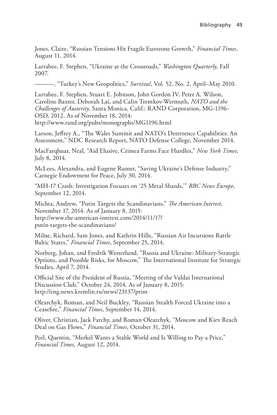Jones, Claire, "Russian Tensions Hit Fragile Eurozone Growth," *Financial Times*, August 11, 2014.

Larrabee, F. Stephen, "Ukraine at the Crossroads," *Washington Quarterly,* Fall 2007.

———, "Turkey's New Geopolitics," *Survival*, Vol. 52, No. 2, April–May 2010.

Larrabee, F. Stephen, Stuart E. Johnson, John Gordon IV, Peter A. Wilson, Caroline Baxter, Deborah Lai, and Calin Trentkov-Wermuth, *NATO and the Challenges of Austerity*, Santa Monica, Calif.: RAND Corporation, MG-1196- OSD, 2012. As of November 18, 2014: <http://www.rand.org/pubs/monographs/MG1196.html>

Larson, Jeffrey A., "The Wales Summit and NATO's Deterrence Capabilities: An Assessment," NDC Research Report, NATO Defense College, November 2014.

MacFarqhuar, Neal, "Aid Elusive, Crimea Farms Face Hurdles," *New York Times,* July 8, 2014.

McLees, Alexandra, and Eugene Rumer, "Saving Ukraine's Defense Industry," Carnegie Endowment for Peace, July 30, 2014.

"MH-17 Crash: Investigation Focuses on '25 Metal Shards,'" *BBC News Europe*, September 12, 2014.

Michta, Andrew, "Putin Targets the Scandinavians," *The American Interest*, November 17, 2014. As of January 8, 2015: [http://www.the-american-interest.com/2014/11/17/](http://www.the-american-interest.com/2014/11/17/putin-targets-the-scandinavians/) putin-targets-the-scandinavians/

Milne, Richard, Sam Jones, and Kathrin Hille, "Russian Air Incursions Rattle Baltic States," *Financial Times*, September 25, 2014.

Norberg, Johan, and Fredrik Westerlund, "Russia and Ukraine: Military-Strategic Options, and Possible Risks, for Moscow," The International Institute for Strategic Studies, April 7, 2014.

Official Site of the President of Russia, "Meeting of the Valdai International Discussion Club," October 24, 2014. As of January 8, 2015: <http://eng.news.kremlin.ru/news/23137/print>

Olearchyk, Roman, and Neil Buckley, "Russian Stealth Forced Ukraine into a Ceasefire," *Financial Times*, September 14, 2014.

Oliver, Christian, Jack Farchy, and Roman Olearchyk, "Moscow and Kiev Reach Deal on Gas Flows," *Financial Times*, October 31, 2014.

Peel, Quentin, "Merkel Wants a Stable World and Is Willing to Pay a Price," *Financial Times,* August 12, 2014.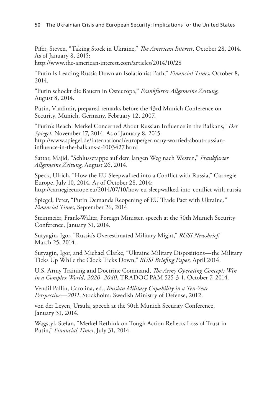Pifer, Steven, "Taking Stock in Ukraine," *The American Interest*, October 28, 2014. As of January 8, 2015:

http://www.[the-american-interest.com/articles/2014/10/28](http://www.the-american-interest.com/articles/2014/10/28)

"Putin Is Leading Russia Down an Isolationist Path," *Financial Times*, October 8, 2014.

"Putin schockt die Bauern in Osteuropa," *Frankfurter Allgemeine Zeitung*, August 8, 2014.

Putin, Vladimir, prepared remarks before the 43rd Munich Conference on Security, Munich, Germany, February 12, 2007.

"Putin's Reach: Merkel Concerned About Russian Influence in the Balkans," *Der Spiegel*, November 17, 2014. As of January 8, 2015: [http://www.spiegel.de/international/europe/germany-worried-about-russian](http://www.spiegel.de/international/europe/germany-worried-about-russian-influence-in-the-balkans-a-1003427.html)influence-in-the-balkans-a-1003427.html

Sattar, Majid, "Schlussetappe auf dem langen Weg nach Westen," *Frankfurter Allgemeine Zeitung*, August 26, 2014.

Speck, Ulrich, "How the EU Sleepwalked into a Conflict with Russia," Carnegie Europe, July 10, 2014. As of October 28, 2014: <http://carnegieeurope.eu/2014/07/10/how-eu-sleepwalked-into-conflict-with-russia>

Spiegel, Peter, "Putin Demands Reopening of EU Trade Pact with Ukraine*," Financial Times*, September 26, 2014.

Steinmeier, Frank-Walter, Foreign Minister, speech at the 50th Munich Security Conference, January 31, 2014.

Sutyagin, Igor, "Russia's Overestimated Military Might," *RUSI Newsbrief*, March 25, 2014.

Sutyagin, Igor, and Michael Clarke, "Ukraine Military Dispositions—the Military Ticks Up While the Clock Ticks Down," *RUSI Briefing Paper*, April 2014.

U.S. Army Training and Doctrine Command, *The Army Operating Concept: Win in a Complex World, 2020–2040*, TRADOC PAM 525-3-1, October 7, 2014.

Vendil Pallin, Carolina, ed., *Russian Military Capability in a Ten-Year Perspective—2011*, Stockholm: Swedish Ministry of Defense, 2012.

von der Leyen, Ursula, speech at the 50th Munich Security Conference, January 31, 2014.

Wagstyl, Stefan, "Merkel Rethink on Tough Action Reflects Loss of Trust in Putin," *Financial Times*, July 31, 2014.